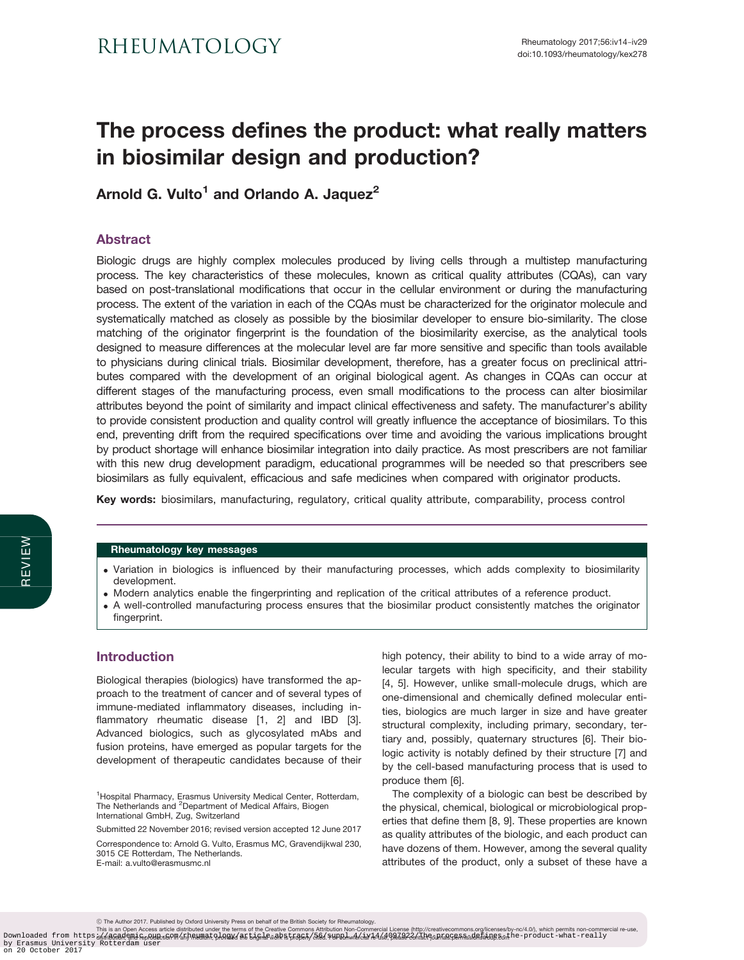# The process defines the product: what really matters in biosimilar design and production?

Arnold G. Vulto<sup>1</sup> and Orlando A. Jaquez<sup>2</sup>

# Abstract

Biologic drugs are highly complex molecules produced by living cells through a multistep manufacturing process. The key characteristics of these molecules, known as critical quality attributes (CQAs), can vary based on post-translational modifications that occur in the cellular environment or during the manufacturing process. The extent of the variation in each of the CQAs must be characterized for the originator molecule and systematically matched as closely as possible by the biosimilar developer to ensure bio-similarity. The close matching of the originator fingerprint is the foundation of the biosimilarity exercise, as the analytical tools designed to measure differences at the molecular level are far more sensitive and specific than tools available to physicians during clinical trials. Biosimilar development, therefore, has a greater focus on preclinical attributes compared with the development of an original biological agent. As changes in CQAs can occur at different stages of the manufacturing process, even small modifications to the process can alter biosimilar attributes beyond the point of similarity and impact clinical effectiveness and safety. The manufacturer's ability to provide consistent production and quality control will greatly influence the acceptance of biosimilars. To this end, preventing drift from the required specifications over time and avoiding the various implications brought by product shortage will enhance biosimilar integration into daily practice. As most prescribers are not familiar with this new drug development paradigm, educational programmes will be needed so that prescribers see biosimilars as fully equivalent, efficacious and safe medicines when compared with originator products.

Key words: biosimilars, manufacturing, regulatory, critical quality attribute, comparability, process control

### Rheumatology key messages

- . Variation in biologics is influenced by their manufacturing processes, which adds complexity to biosimilarity development.
- . Modern analytics enable the fingerprinting and replication of the critical attributes of a reference product.
- . A well-controlled manufacturing process ensures that the biosimilar product consistently matches the originator fingerprint.

# Introduction

Biological therapies (biologics) have transformed the approach to the treatment of cancer and of several types of immune-mediated inflammatory diseases, including inflammatory rheumatic disease [[1](#page-12-0), [2\]](#page-12-0) and IBD [\[3](#page-12-0)]. Advanced biologics, such as glycosylated mAbs and fusion proteins, have emerged as popular targets for the development of therapeutic candidates because of their

<sup>1</sup>Hospital Pharmacy, Erasmus University Medical Center, Rotterdam, The Netherlands and <sup>2</sup>Department of Medical Affairs, Biogen International GmbH, Zug, Switzerland

Submitted 22 November 2016; revised version accepted 12 June 2017

Correspondence to: Arnold G. Vulto, Erasmus MC, Gravendijkwal 230, 3015 CE Rotterdam, The Netherlands. E-mail: a.vulto@erasmusmc.nl

high potency, their ability to bind to a wide array of molecular targets with high specificity, and their stability [[4, 5](#page-12-0)]. However, unlike small-molecule drugs, which are one-dimensional and chemically defined molecular entities, biologics are much larger in size and have greater structural complexity, including primary, secondary, tertiary and, possibly, quaternary structures [[6\]](#page-12-0). Their biologic activity is notably defined by their structure [[7](#page-12-0)] and by the cell-based manufacturing process that is used to produce them [\[6\]](#page-12-0).

The complexity of a biologic can best be described by the physical, chemical, biological or microbiological properties that define them [\[8, 9](#page-12-0)]. These properties are known as quality attributes of the biologic, and each product can have dozens of them. However, among the several quality attributes of the product, only a subset of these have a

Downloaded from https://inisis.an OpenAccess.article.distributed under the terms of the Creative Commons Attribution Non-Commercial License (http://creativecommons.org/licenses/by-nc/1.0/), which permits non-commercial re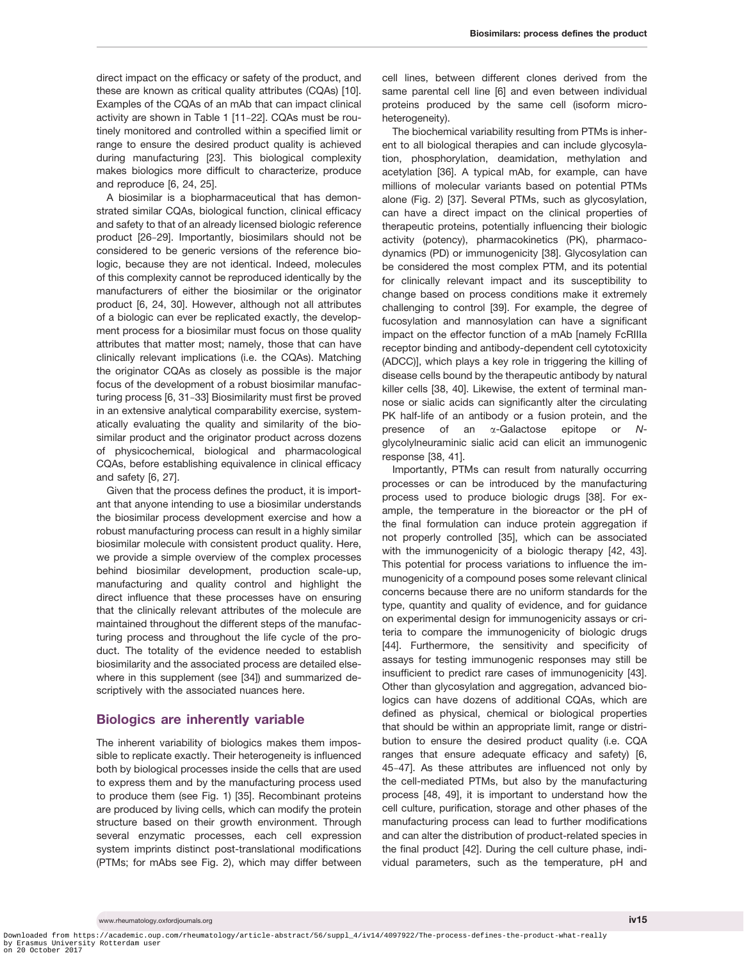direct impact on the efficacy or safety of the product, and these are known as critical quality attributes (CQAs) [[10](#page-12-0)]. Examples of the CQAs of an mAb that can impact clinical activity are shown in [Table 1](#page-2-0) [\[11](#page-12-0)-[22](#page-12-0)]. CQAs must be routinely monitored and controlled within a specified limit or range to ensure the desired product quality is achieved during manufacturing [\[23](#page-12-0)]. This biological complexity makes biologics more difficult to characterize, produce and reproduce [\[6](#page-12-0), [24, 25](#page-12-0)].

A biosimilar is a biopharmaceutical that has demonstrated similar CQAs, biological function, clinical efficacy and safety to that of an already licensed biologic reference product [[26](#page-12-0)-[29\]](#page-12-0). Importantly, biosimilars should not be considered to be generic versions of the reference biologic, because they are not identical. Indeed, molecules of this complexity cannot be reproduced identically by the manufacturers of either the biosimilar or the originator product [[6](#page-12-0), [24,](#page-12-0) [30](#page-13-0)]. However, although not all attributes of a biologic can ever be replicated exactly, the development process for a biosimilar must focus on those quality attributes that matter most; namely, those that can have clinically relevant implications (i.e. the CQAs). Matching the originator CQAs as closely as possible is the major focus of the development of a robust biosimilar manufacturing process [[6](#page-12-0), [31](#page-13-0)-[33\]](#page-13-0) Biosimilarity must first be proved in an extensive analytical comparability exercise, systematically evaluating the quality and similarity of the biosimilar product and the originator product across dozens of physicochemical, biological and pharmacological CQAs, before establishing equivalence in clinical efficacy and safety [\[6,](#page-12-0) [27](#page-13-0)].

Given that the process defines the product, it is important that anyone intending to use a biosimilar understands the biosimilar process development exercise and how a robust manufacturing process can result in a highly similar biosimilar molecule with consistent product quality. Here, we provide a simple overview of the complex processes behind biosimilar development, production scale-up, manufacturing and quality control and highlight the direct influence that these processes have on ensuring that the clinically relevant attributes of the molecule are maintained throughout the different steps of the manufacturing process and throughout the life cycle of the product. The totality of the evidence needed to establish biosimilarity and the associated process are detailed elsewhere in this supplement (see [[34](#page-13-0)]) and summarized descriptively with the associated nuances here.

### Biologics are inherently variable

The inherent variability of biologics makes them impossible to replicate exactly. Their heterogeneity is influenced both by biological processes inside the cells that are used to express them and by the manufacturing process used to produce them (see Fig. 1) [[35](#page-13-0)]. Recombinant proteins are produced by living cells, which can modify the protein structure based on their growth environment. Through several enzymatic processes, each cell expression system imprints distinct post-translational modifications (PTMs; for mAbs see Fig. 2), which may differ between

cell lines, between different clones derived from the same parental cell line [[6](#page-12-0)] and even between individual proteins produced by the same cell (isoform microheterogeneity).

The biochemical variability resulting from PTMs is inherent to all biological therapies and can include glycosylation, phosphorylation, deamidation, methylation and acetylation [\[36\]](#page-13-0). A typical mAb, for example, can have millions of molecular variants based on potential PTMs alone (Fig. 2) [[37](#page-13-0)]. Several PTMs, such as glycosylation, can have a direct impact on the clinical properties of therapeutic proteins, potentially influencing their biologic activity (potency), pharmacokinetics (PK), pharmacodynamics (PD) or immunogenicity [\[38\]](#page-13-0). Glycosylation can be considered the most complex PTM, and its potential for clinically relevant impact and its susceptibility to change based on process conditions make it extremely challenging to control [[39](#page-13-0)]. For example, the degree of fucosylation and mannosylation can have a significant impact on the effector function of a mAb [namely FcRIIIa receptor binding and antibody-dependent cell cytotoxicity (ADCC)], which plays a key role in triggering the killing of disease cells bound by the therapeutic antibody by natural killer cells [[38, 40\]](#page-13-0). Likewise, the extent of terminal mannose or sialic acids can significantly alter the circulating PK half-life of an antibody or a fusion protein, and the presence of an a-Galactose epitope or Nglycolylneuraminic sialic acid can elicit an immunogenic response [[38](#page-13-0), [41\]](#page-13-0).

Importantly, PTMs can result from naturally occurring processes or can be introduced by the manufacturing process used to produce biologic drugs [[38](#page-13-0)]. For example, the temperature in the bioreactor or the pH of the final formulation can induce protein aggregation if not properly controlled [[35\]](#page-13-0), which can be associated with the immunogenicity of a biologic therapy [\[42, 43](#page-13-0)]. This potential for process variations to influence the immunogenicity of a compound poses some relevant clinical concerns because there are no uniform standards for the type, quantity and quality of evidence, and for guidance on experimental design for immunogenicity assays or criteria to compare the immunogenicity of biologic drugs [[44](#page-13-0)]. Furthermore, the sensitivity and specificity of assays for testing immunogenic responses may still be insufficient to predict rare cases of immunogenicity [[43](#page-13-0)]. Other than glycosylation and aggregation, advanced biologics can have dozens of additional CQAs, which are defined as physical, chemical or biological properties that should be within an appropriate limit, range or distribution to ensure the desired product quality (i.e. CQA ranges that ensure adequate efficacy and safety) [[6,](#page-12-0) [45](#page-13-0)-[47\]](#page-13-0). As these attributes are influenced not only by the cell-mediated PTMs, but also by the manufacturing process [\[48](#page-13-0), [49\]](#page-13-0), it is important to understand how the cell culture, purification, storage and other phases of the manufacturing process can lead to further modifications and can alter the distribution of product-related species in the final product [\[42](#page-13-0)]. During the cell culture phase, individual parameters, such as the temperature, pH and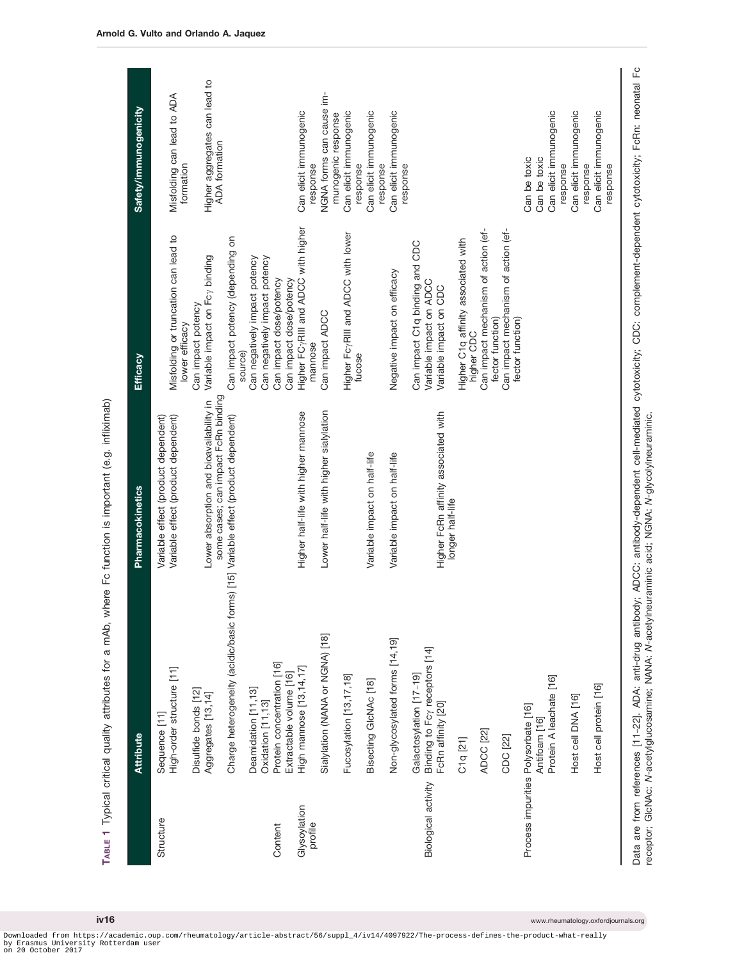<span id="page-2-0"></span>

|                         | Attribute                                                                          | <b>Pharmacokinetics</b>                                                    | Efficacy                                                               | Safety/immunogenicity                        |
|-------------------------|------------------------------------------------------------------------------------|----------------------------------------------------------------------------|------------------------------------------------------------------------|----------------------------------------------|
| Structure               | High-order structure [11]<br>Sequence [11]                                         | Variable effect (product dependent)<br>Variable effect (product dependent) | Misfolding or truncation can lead to                                   | Misfolding can lead to ADA                   |
|                         | Disulfide bonds [12]<br>Aggregates [13,14]                                         | Lower absorption and bioavailability in                                    | Variable impact on Fcy binding<br>Can impact potency<br>lower efficacy | Higher aggregates can lead to<br>formation   |
|                         | Charge heterogeneity (acidic/basic forms) [15] Variable effect (product dependent) | some cases; can impact FcRn binding                                        |                                                                        | <b>ADA</b> formation                         |
|                         |                                                                                    |                                                                            | Can impact potency (depending on<br>source)                            |                                              |
|                         | Deamidation [11,13]<br>Oxidation [11,13]                                           |                                                                            | Can negatively impact potency<br>Can negatively impact potency         |                                              |
| Content                 | Protein concentration [16]<br>Extractable volume [16]                              |                                                                            | Can impact dose/potency<br>Can impact dose/potency                     |                                              |
| Glysoylation<br>profile | High mannose [13,14,17]                                                            | Higher half-life with higher mannose                                       | Higher FC <sub>Y</sub> RIII and ADCC with higher<br>mannose            | Can elicit immunogenic<br>response           |
|                         | Sialytation (NANA or determine                                                     | Lower half-life with higher sialylation                                    | Can impact ADCC                                                        | NGNA forms can cause im-                     |
|                         | Fucosylation [13,17,18]                                                            |                                                                            | Higher FcyRIII and ADCC with lower                                     | Can elicit immunogenic<br>munogenic response |
|                         |                                                                                    |                                                                            | tucose                                                                 | response                                     |
|                         | Bisecting GlcNAc [18]                                                              | Variable impact on half-life                                               |                                                                        | Can elicit immunogenic<br>response           |
|                         | Non-glycosylated forms [14,19]                                                     | Variable impact on half-life                                               | Negative impact on efficacy                                            | Can elicit immunogenic<br>response           |
|                         | Galactosylation [17-19]                                                            |                                                                            | Can impact C1q binding and CDC                                         |                                              |
| Biological activity     | Binding to Fcy receptors [14]                                                      |                                                                            | Variable impact on ADCC                                                |                                              |
|                         | FcRn affinity [20]                                                                 | Higher FcRn affinity associated with<br>longer half-life                   | Variable impact on CDC                                                 |                                              |
|                         | C1q [21]                                                                           |                                                                            | Higher C1q affinity associated with<br>higher CDC                      |                                              |
|                         | <b>ADCC</b> [22]                                                                   |                                                                            | Can impact mechanism of action (ef-                                    |                                              |
|                         | CDC <sub>[22]</sub>                                                                |                                                                            | Can impact mechanism of action (ef-<br>fector function)                |                                              |
|                         |                                                                                    |                                                                            | fector function)                                                       |                                              |
|                         | Process impurities Polysorbate [16]<br>Antifoam [16]                               |                                                                            |                                                                        | Can be toxic<br>Can be toxic                 |
|                         | Protein A leachate [16]                                                            |                                                                            |                                                                        | Can elicit immunogenic                       |
|                         |                                                                                    |                                                                            |                                                                        | response                                     |
|                         | Host cell DNA [16]                                                                 |                                                                            |                                                                        | Can elicit immunogenic<br>response           |
|                         | Host cell protein [16]                                                             |                                                                            |                                                                        | Can elicit immunogenic                       |
|                         |                                                                                    |                                                                            |                                                                        | response                                     |

TABLE 1 Typical critical quality attributes for a mAb, where Fc function is important (e.g. infliximab) TABLE 1 Typical critical quality attributes for a mAb, where Fc function is important (e.g. infliximab)

iv $16$  www.rheumatology.oxfordjournals.org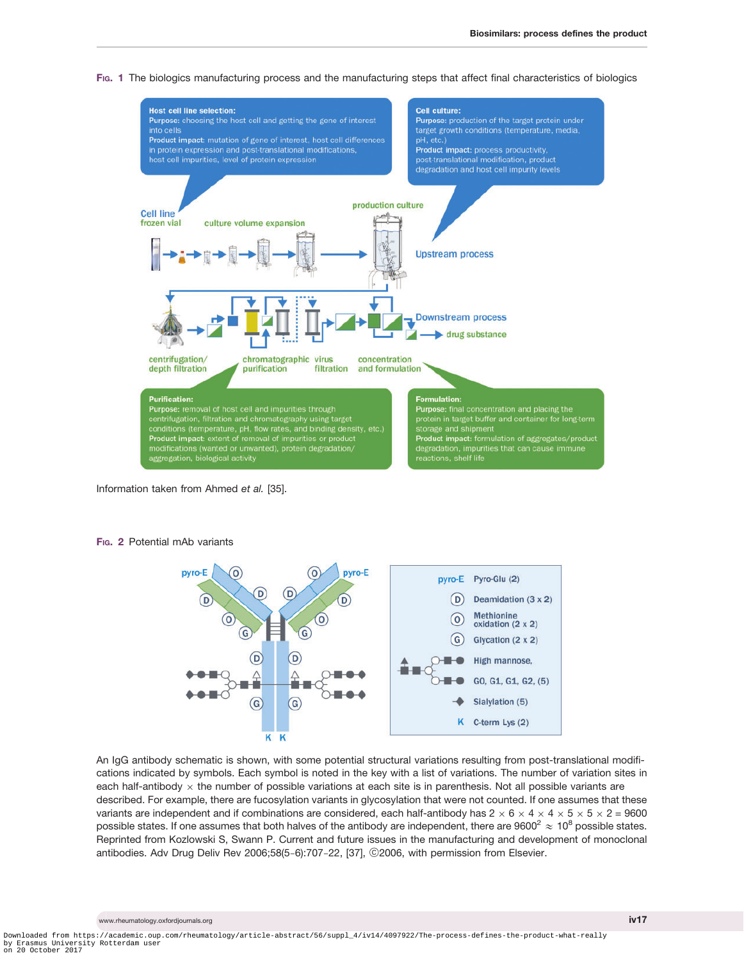

FIG. 1 The biologics manufacturing process and the manufacturing steps that affect final characteristics of biologics

Information taken from Ahmed et al. [[35\]](#page-13-0).

#### FIG. 2 Potential mAb variants



An IgG antibody schematic is shown, with some potential structural variations resulting from post-translational modifications indicated by symbols. Each symbol is noted in the key with a list of variations. The number of variation sites in each half-antibody  $\times$  the number of possible variations at each site is in parenthesis. Not all possible variants are described. For example, there are fucosylation variants in glycosylation that were not counted. If one assumes that these variants are independent and if combinations are considered, each half-antibody has 2  $\times$  6  $\times$  4  $\times$  4  $\times$  5  $\times$  5  $\times$  2 = 9600 possible states. If one assumes that both halves of the antibody are independent, there are 9600<sup>2</sup>  $\approx 10^8$  possible states. Reprinted from Kozlowski S, Swann P. Current and future issues in the manufacturing and development of monoclonal antibodies. Adv Drug Deliv Rev 2006;58(5-6):707-22, [\[37\]](#page-13-0), !2006, with permission from Elsevier.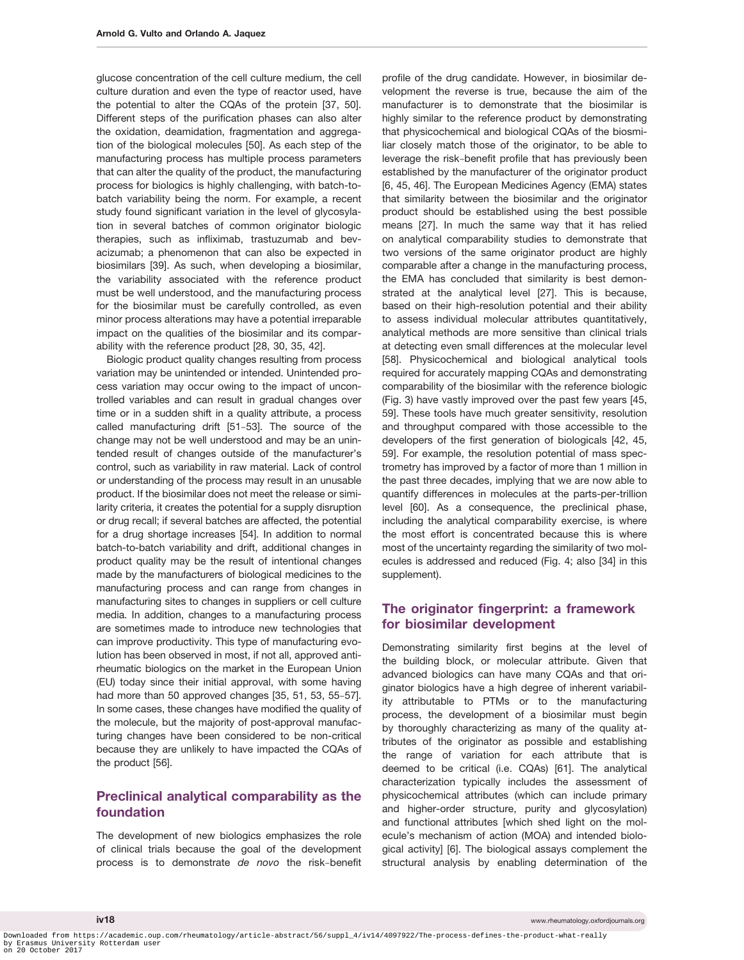glucose concentration of the cell culture medium, the cell culture duration and even the type of reactor used, have the potential to alter the CQAs of the protein [[37](#page-13-0), [50](#page-13-0)]. Different steps of the purification phases can also alter the oxidation, deamidation, fragmentation and aggregation of the biological molecules [[50\]](#page-13-0). As each step of the manufacturing process has multiple process parameters that can alter the quality of the product, the manufacturing process for biologics is highly challenging, with batch-tobatch variability being the norm. For example, a recent study found significant variation in the level of glycosylation in several batches of common originator biologic therapies, such as infliximab, trastuzumab and bevacizumab; a phenomenon that can also be expected in biosimilars [[39](#page-13-0)]. As such, when developing a biosimilar, the variability associated with the reference product must be well understood, and the manufacturing process for the biosimilar must be carefully controlled, as even minor process alterations may have a potential irreparable impact on the qualities of the biosimilar and its comparability with the reference product [[28, 30, 35](#page-13-0), [42\]](#page-13-0).

Biologic product quality changes resulting from process variation may be unintended or intended. Unintended process variation may occur owing to the impact of uncontrolled variables and can result in gradual changes over time or in a sudden shift in a quality attribute, a process called manufacturing drift [\[51](#page-13-0)-[53\]](#page-13-0). The source of the change may not be well understood and may be an unintended result of changes outside of the manufacturer's control, such as variability in raw material. Lack of control or understanding of the process may result in an unusable product. If the biosimilar does not meet the release or similarity criteria, it creates the potential for a supply disruption or drug recall; if several batches are affected, the potential for a drug shortage increases [[54\]](#page-13-0). In addition to normal batch-to-batch variability and drift, additional changes in product quality may be the result of intentional changes made by the manufacturers of biological medicines to the manufacturing process and can range from changes in manufacturing sites to changes in suppliers or cell culture media. In addition, changes to a manufacturing process are sometimes made to introduce new technologies that can improve productivity. This type of manufacturing evolution has been observed in most, if not all, approved antirheumatic biologics on the market in the European Union (EU) today since their initial approval, with some having had more than 50 approved changes [\[35, 51](#page-13-0), [53](#page-13-0), [55](#page-13-0)-[57](#page-13-0)]. In some cases, these changes have modified the quality of the molecule, but the majority of post-approval manufacturing changes have been considered to be non-critical because they are unlikely to have impacted the CQAs of the product [\[56](#page-13-0)].

# Preclinical analytical comparability as the foundation

The development of new biologics emphasizes the role of clinical trials because the goal of the development process is to demonstrate de novo the risk-benefit

profile of the drug candidate. However, in biosimilar development the reverse is true, because the aim of the manufacturer is to demonstrate that the biosimilar is highly similar to the reference product by demonstrating that physicochemical and biological CQAs of the biosmiliar closely match those of the originator, to be able to leverage the risk-benefit profile that has previously been established by the manufacturer of the originator product [[6,](#page-12-0) [45, 46](#page-13-0)]. The European Medicines Agency (EMA) states that similarity between the biosimilar and the originator product should be established using the best possible means [[27](#page-13-0)]. In much the same way that it has relied on analytical comparability studies to demonstrate that two versions of the same originator product are highly comparable after a change in the manufacturing process, the EMA has concluded that similarity is best demonstrated at the analytical level [[27](#page-13-0)]. This is because, based on their high-resolution potential and their ability to assess individual molecular attributes quantitatively, analytical methods are more sensitive than clinical trials at detecting even small differences at the molecular level [[58](#page-13-0)]. Physicochemical and biological analytical tools required for accurately mapping CQAs and demonstrating comparability of the biosimilar with the reference biologic ([Fig. 3](#page-5-0)) have vastly improved over the past few years [\[45,](#page-13-0) [59\]](#page-13-0). These tools have much greater sensitivity, resolution and throughput compared with those accessible to the developers of the first generation of biologicals [[42](#page-13-0), [45,](#page-13-0) [59\]](#page-13-0). For example, the resolution potential of mass spectrometry has improved by a factor of more than 1 million in the past three decades, implying that we are now able to quantify differences in molecules at the parts-per-trillion level [[60](#page-14-0)]. As a consequence, the preclinical phase, including the analytical comparability exercise, is where the most effort is concentrated because this is where most of the uncertainty regarding the similarity of two molecules is addressed and reduced ([Fig. 4;](#page-5-0) also [\[34\]](#page-13-0) in this supplement).

# The originator fingerprint: a framework for biosimilar development

Demonstrating similarity first begins at the level of the building block, or molecular attribute. Given that advanced biologics can have many CQAs and that originator biologics have a high degree of inherent variability attributable to PTMs or to the manufacturing process, the development of a biosimilar must begin by thoroughly characterizing as many of the quality attributes of the originator as possible and establishing the range of variation for each attribute that is deemed to be critical (i.e. CQAs) [[61](#page-14-0)]. The analytical characterization typically includes the assessment of physicochemical attributes (which can include primary and higher-order structure, purity and glycosylation) and functional attributes [which shed light on the molecule's mechanism of action (MOA) and intended biological activity] [\[6](#page-12-0)]. The biological assays complement the structural analysis by enabling determination of the

iv18 www.rheumatology.oxfordjournals.org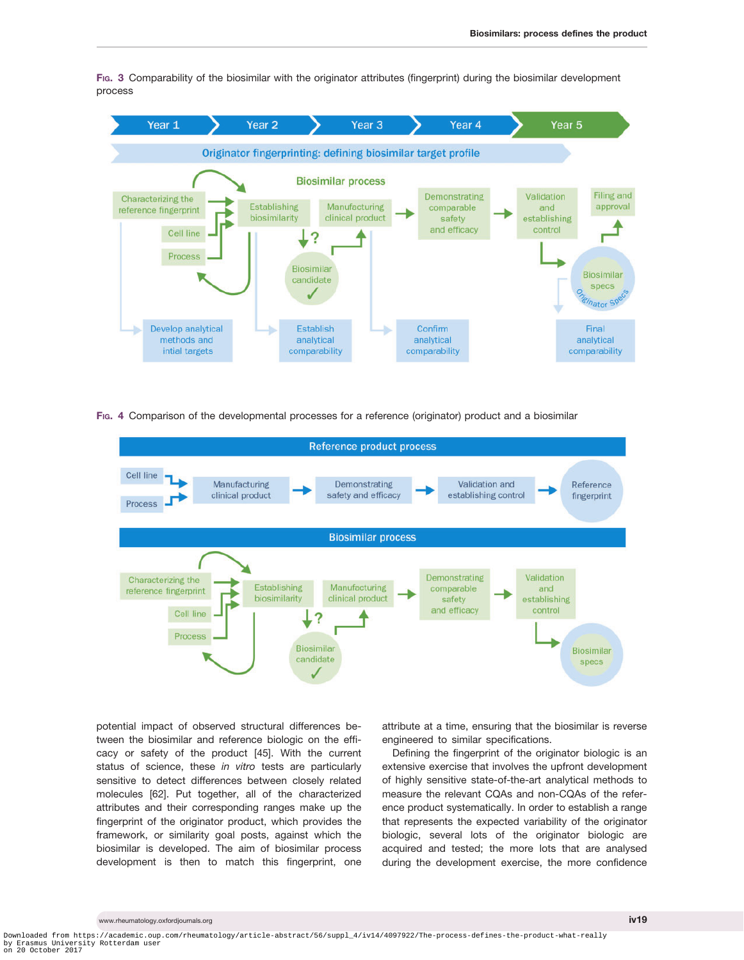<span id="page-5-0"></span>FIG. 3 Comparability of the biosimilar with the originator attributes (fingerprint) during the biosimilar development process



FIG. 4 Comparison of the developmental processes for a reference (originator) product and a biosimilar



potential impact of observed structural differences between the biosimilar and reference biologic on the efficacy or safety of the product [[45\]](#page-13-0). With the current status of science, these in vitro tests are particularly sensitive to detect differences between closely related molecules [\[62\]](#page-14-0). Put together, all of the characterized attributes and their corresponding ranges make up the fingerprint of the originator product, which provides the framework, or similarity goal posts, against which the biosimilar is developed. The aim of biosimilar process development is then to match this fingerprint, one

attribute at a time, ensuring that the biosimilar is reverse engineered to similar specifications.

Defining the fingerprint of the originator biologic is an extensive exercise that involves the upfront development of highly sensitive state-of-the-art analytical methods to measure the relevant CQAs and non-CQAs of the reference product systematically. In order to establish a range that represents the expected variability of the originator biologic, several lots of the originator biologic are acquired and tested; the more lots that are analysed during the development exercise, the more confidence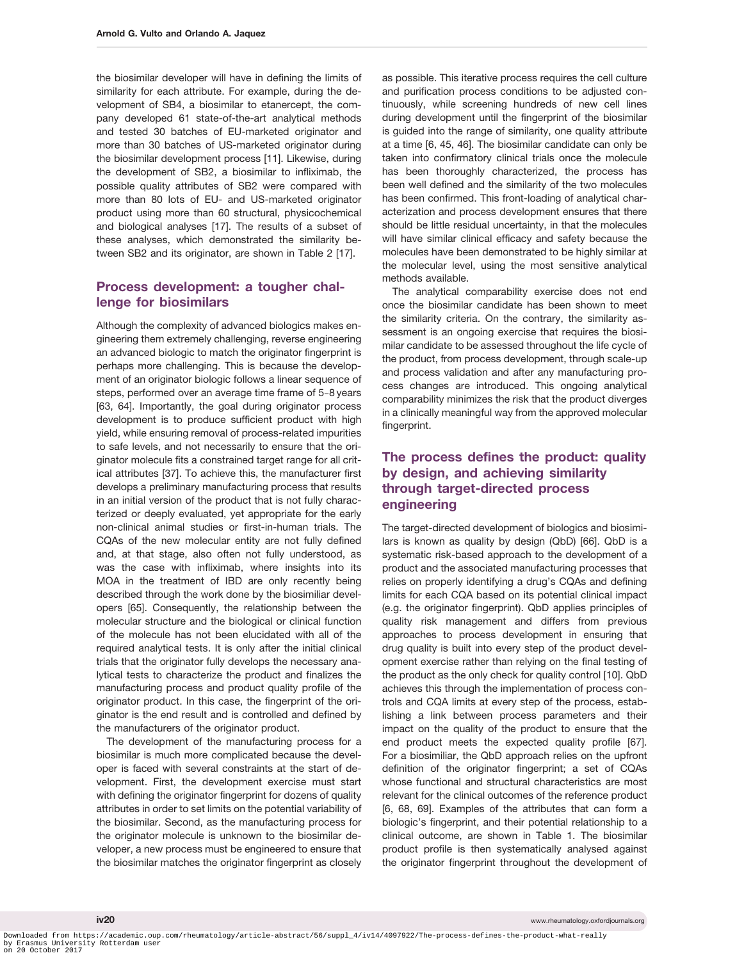the biosimilar developer will have in defining the limits of similarity for each attribute. For example, during the development of SB4, a biosimilar to etanercept, the company developed 61 state-of-the-art analytical methods and tested 30 batches of EU-marketed originator and more than 30 batches of US-marketed originator during the biosimilar development process [[11\]](#page-12-0). Likewise, during the development of SB2, a biosimilar to infliximab, the possible quality attributes of SB2 were compared with more than 80 lots of EU- and US-marketed originator product using more than 60 structural, physicochemical and biological analyses [[17\]](#page-12-0). The results of a subset of these analyses, which demonstrated the similarity between SB2 and its originator, are shown in [Table 2](#page-7-0) [[17](#page-12-0)].

# Process development: a tougher challenge for biosimilars

Although the complexity of advanced biologics makes engineering them extremely challenging, reverse engineering an advanced biologic to match the originator fingerprint is perhaps more challenging. This is because the development of an originator biologic follows a linear sequence of steps, performed over an average time frame of 5-8 years [[63, 64\]](#page-14-0). Importantly, the goal during originator process development is to produce sufficient product with high yield, while ensuring removal of process-related impurities to safe levels, and not necessarily to ensure that the originator molecule fits a constrained target range for all critical attributes [[37](#page-13-0)]. To achieve this, the manufacturer first develops a preliminary manufacturing process that results in an initial version of the product that is not fully characterized or deeply evaluated, yet appropriate for the early non-clinical animal studies or first-in-human trials. The CQAs of the new molecular entity are not fully defined and, at that stage, also often not fully understood, as was the case with infliximab, where insights into its MOA in the treatment of IBD are only recently being described through the work done by the biosimiliar developers [\[65\]](#page-14-0). Consequently, the relationship between the molecular structure and the biological or clinical function of the molecule has not been elucidated with all of the required analytical tests. It is only after the initial clinical trials that the originator fully develops the necessary analytical tests to characterize the product and finalizes the manufacturing process and product quality profile of the originator product. In this case, the fingerprint of the originator is the end result and is controlled and defined by the manufacturers of the originator product.

The development of the manufacturing process for a biosimilar is much more complicated because the developer is faced with several constraints at the start of development. First, the development exercise must start with defining the originator fingerprint for dozens of quality attributes in order to set limits on the potential variability of the biosimilar. Second, as the manufacturing process for the originator molecule is unknown to the biosimilar developer, a new process must be engineered to ensure that the biosimilar matches the originator fingerprint as closely as possible. This iterative process requires the cell culture and purification process conditions to be adjusted continuously, while screening hundreds of new cell lines during development until the fingerprint of the biosimilar is guided into the range of similarity, one quality attribute at a time [[6](#page-12-0), [45, 46\]](#page-13-0). The biosimilar candidate can only be taken into confirmatory clinical trials once the molecule has been thoroughly characterized, the process has been well defined and the similarity of the two molecules has been confirmed. This front-loading of analytical characterization and process development ensures that there should be little residual uncertainty, in that the molecules will have similar clinical efficacy and safety because the molecules have been demonstrated to be highly similar at the molecular level, using the most sensitive analytical methods available.

The analytical comparability exercise does not end once the biosimilar candidate has been shown to meet the similarity criteria. On the contrary, the similarity assessment is an ongoing exercise that requires the biosimilar candidate to be assessed throughout the life cycle of the product, from process development, through scale-up and process validation and after any manufacturing process changes are introduced. This ongoing analytical comparability minimizes the risk that the product diverges in a clinically meaningful way from the approved molecular fingerprint.

# The process defines the product: quality by design, and achieving similarity through target-directed process engineering

The target-directed development of biologics and biosimilars is known as quality by design (QbD) [\[66](#page-14-0)]. QbD is a systematic risk-based approach to the development of a product and the associated manufacturing processes that relies on properly identifying a drug's CQAs and defining limits for each CQA based on its potential clinical impact (e.g. the originator fingerprint). QbD applies principles of quality risk management and differs from previous approaches to process development in ensuring that drug quality is built into every step of the product development exercise rather than relying on the final testing of the product as the only check for quality control [\[10\]](#page-12-0). QbD achieves this through the implementation of process controls and CQA limits at every step of the process, establishing a link between process parameters and their impact on the quality of the product to ensure that the end product meets the expected quality profile [[67](#page-14-0)]. For a biosimiliar, the QbD approach relies on the upfront definition of the originator fingerprint; a set of CQAs whose functional and structural characteristics are most relevant for the clinical outcomes of the reference product [[6,](#page-12-0) [68](#page-14-0), [69](#page-14-0)]. Examples of the attributes that can form a biologic's fingerprint, and their potential relationship to a clinical outcome, are shown in [Table 1.](#page-2-0) The biosimilar product profile is then systematically analysed against the originator fingerprint throughout the development of

iv20 www.rheumatology.oxfordjournals.org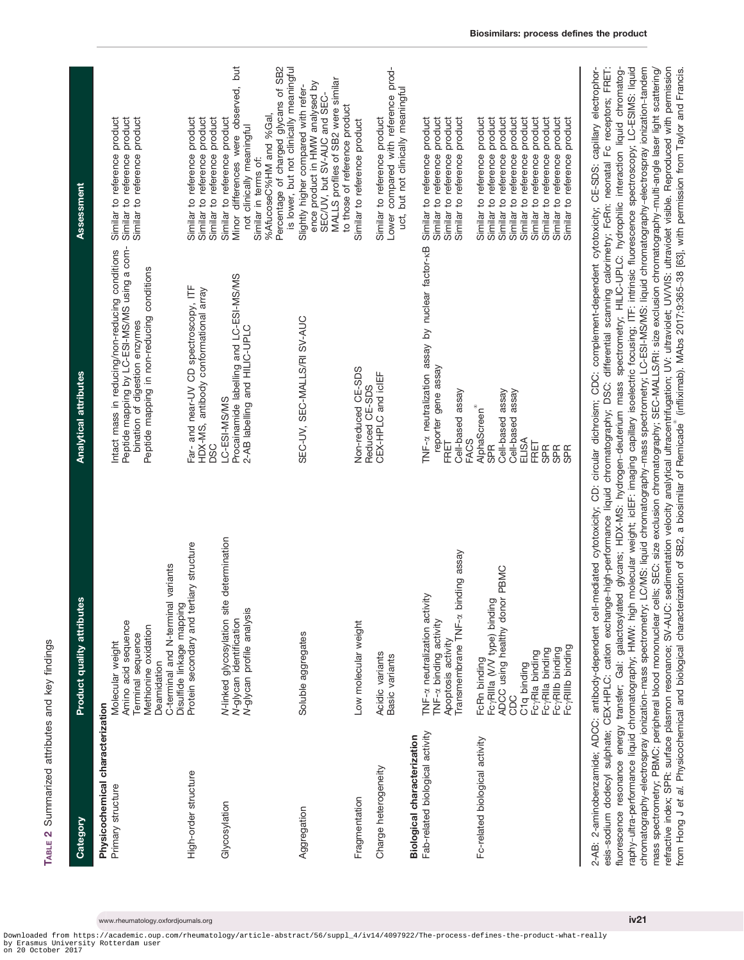TABLE 2 Summarized attributes and key findings TABLE 2 Summarized attributes and key findings

<span id="page-7-0"></span>

| Category                                                                      | ites<br>Product quality attribu                                                                                                                                                                                                                                                                                                                                                                                                                                                                                                                                                                                                                                                                                               | <b>Analytical attributes</b>                                                                                                                                                                                                                                     | <b>Assessment</b>                                                                                                                                                                                                                                                                                                               |
|-------------------------------------------------------------------------------|-------------------------------------------------------------------------------------------------------------------------------------------------------------------------------------------------------------------------------------------------------------------------------------------------------------------------------------------------------------------------------------------------------------------------------------------------------------------------------------------------------------------------------------------------------------------------------------------------------------------------------------------------------------------------------------------------------------------------------|------------------------------------------------------------------------------------------------------------------------------------------------------------------------------------------------------------------------------------------------------------------|---------------------------------------------------------------------------------------------------------------------------------------------------------------------------------------------------------------------------------------------------------------------------------------------------------------------------------|
| Physicochemical characterization<br>High-order structure<br>Primary structure | Protein secondary and tertiary structure<br>nal variants<br>Disulfide linkage mapping<br>C-terminal and N-termi<br>Amino acid sequence<br>Methionine oxidation<br>Terminal sequence<br>Molecular weight<br>Deamidation                                                                                                                                                                                                                                                                                                                                                                                                                                                                                                        | Peptide mapping by LC-ESI-MS/MS using a com-<br>Intact mass in reducing/non-reducing conditions<br>Peptide mapping in non-reducing conditions<br>Far- and near-UV CD spectroscopy, ITF<br>HDX-MS, antibody conformational array<br>bination of digestion enzymes | Similar to reference product<br>Similar to reference product<br>Similar to reference product<br>Similar to reference product<br>Similar to reference product                                                                                                                                                                    |
| Glycosylation                                                                 | N-linked glycosylation site determination<br>N-glycan profile analysis<br>N-glycan identification                                                                                                                                                                                                                                                                                                                                                                                                                                                                                                                                                                                                                             | Procainamide labelling and LC-ESI-MS/MS<br>2-AB labelling and HILIC-UPLC<br>LC-ESI-MS/MS<br><b>DSC</b>                                                                                                                                                           | Minor differences were observed, but<br>Similar to reference product<br>Similar to reference product<br>not clinically meaningful<br>Similar in terms of:                                                                                                                                                                       |
| Aggregation                                                                   | Soluble aggregates                                                                                                                                                                                                                                                                                                                                                                                                                                                                                                                                                                                                                                                                                                            | SEC-UV, SEC-MALLS/RI SV-AUC                                                                                                                                                                                                                                      | Percentage of charged glycans of SB2<br>is lower, but not clinically meaningful<br>MALLS profiles of SB2 were similar<br>ence product in HMW analysed by<br>Slightly higher compared with refer-<br>SEC/UV, but SV-AUC and SEC-<br>%AfucoseC%HM and %Gal,                                                                       |
| Charge heterogeneity<br>Fragmentation                                         | Low molecular weight<br>Acidic variants                                                                                                                                                                                                                                                                                                                                                                                                                                                                                                                                                                                                                                                                                       | Non-reduced CE-SDS<br>CEX-HPLC and icIEF<br>Reduced CE-SDS                                                                                                                                                                                                       | to those of reference product<br>Similar to reference product<br>Similar to reference product                                                                                                                                                                                                                                   |
| Fab-related biological activity<br>Biological characterization                | TNF-& neutralization activity<br>Apoptosis activity<br>Transmembrane TNF-α<br>TNF-a binding activity<br>Basic variants                                                                                                                                                                                                                                                                                                                                                                                                                                                                                                                                                                                                        | TNF-a neutralization assay by nuclear factor-KB<br>reporter gene assay<br>FRET                                                                                                                                                                                   | Lower compared with reference prod-<br>uct, but not clinically meaningful<br>Similar to reference product<br>Similar to reference product<br>Similar to reference product                                                                                                                                                       |
| Fc-related biological activity                                                | binding assay<br>ADCC using healthy donor PBMC<br>FcyRilla (V/V type) binding<br>FcyRIllb binding<br>FcyRIIb binding<br>FcyRlla binding<br>FcyRla binding<br>FcRn binding<br>C <sub>1q</sub> binding<br>CDC                                                                                                                                                                                                                                                                                                                                                                                                                                                                                                                   | Cell-based assay<br>Cell-based assay<br>Cell-based assay<br>AlphaScreen<br>ELISA<br><b>FACS</b><br>FRET<br>SPR<br>SPR <sub></sub><br>SPR<br>SPR                                                                                                                  | Similar to reference product<br>Similar to reference product<br>Similar to reference product<br>Similar to reference product<br>Similar to reference product<br>product<br>Similar to reference product<br>Similar to reference product<br>Similar to reference product<br>Similar to reference product<br>Similar to reference |
|                                                                               | 2-AB: 2-aminobenzamide; ADCC: antibody-dependent cell-mediated cytotoxicity; CD: circular dichroism; CDC: complement-dependent cytotoxicity; CE-SDS: capillary electrophor-<br>esis-sodium dodecyl sulphate; CEX-HPLC: cation exchange-high-performance liquid chromatography; DSC: differential scanning calorimetry; FcRn: neonatal Fc receptors; FRET:<br>fluorescence resonance energy transfer; Gal: galactosylated glycans; HDX-MS: hydrogen-deuterium mass spectrometry; HILIC-UPLC: hydrophilic interaction liquid chromatog-<br>raphy-ultra-performance liquid chromatography: HMW: high molecular weight; icIEF: imaging capillary isoelectric focusing; TFF: intrinsic fluorescence spectroscopy; LC-ESIMS: liquid |                                                                                                                                                                                                                                                                  |                                                                                                                                                                                                                                                                                                                                 |

chromatography-electrospray ionization-mass spectrometry; LC/MS: liquid chromatography-mass spectrometry; LC-ESI-MS/MS: liquid chromatography-electrospray ionization-tandem<br>mass spectrometry; PBMC: peripheral blood mononuc entative index; SPR: surface plasmon resonance; SV-AUC: sedimentation velocity analytical ultracentrifugation; UV: ultraviolet; UV/VIS: ultraviolet visible. Reproduced with permission from Hong J et al. Physicochemical and deuterium mass spectrometry; HILIC-UPLC: hydrophilic interaction liquid chromatogmulti-angle laser light scattering/ refractive index; SPR: surface plasmon resonance; SV-AUC: sedimentation velocity analytical ultracentrifugation; UV: ultraviolet; UV/VIS: ultraviolet visible. Reproduced with permission high-performance liquid chromatography; DSC: differential scanning calorimetry; FcRn: neonatal Fc receptors; FRET: ultra-performance liquid chromatography; HMW: high molecular weight; icIEF: imaging capillary isoelectric focusing; ITF: intrinsic fluorescence spectroscopy; LC-ESIMS: liquid 38 [\[63\]](#page-14-0), with permission from Taylor and Francis. electrospray ionizationmass spectrometry; LC-ESI-MS/MS: liquid chromatographymass spectrometry; PBMC: peripheral blood mononuclear cells; SEC: size exclusion chromatography; SEC-MALLS/RI: size exclusion chromatography- (infliximab). MAbs 2017;9:365from Hong J et al. Physicochemical and biological characterization of SB2, a biosimilar of Remicadefluorescence resonance energy transfer; Gal: galactosylated glycans; HDX-MS: hydrogenmass spectrometry; LC/MS: liquid chromatographysodium dodecyl sulphate; CEX-HPLC: cation exchangeelectrospray ionizationchromatography-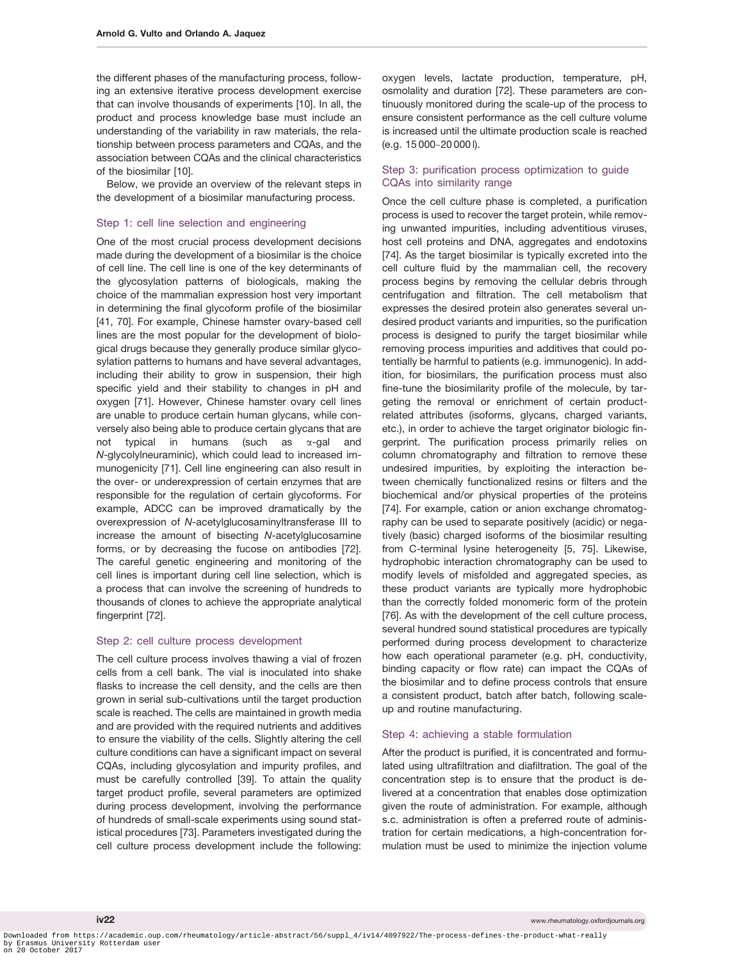the different phases of the manufacturing process, following an extensive iterative process development exercise that can involve thousands of experiments [\[10](#page-12-0)]. In all, the product and process knowledge base must include an understanding of the variability in raw materials, the relationship between process parameters and CQAs, and the association between CQAs and the clinical characteristics of the biosimilar [\[10\]](#page-12-0).

Below, we provide an overview of the relevant steps in the development of a biosimilar manufacturing process.

#### Step 1: cell line selection and engineering

One of the most crucial process development decisions made during the development of a biosimilar is the choice of cell line. The cell line is one of the key determinants of the glycosylation patterns of biologicals, making the choice of the mammalian expression host very important in determining the final glycoform profile of the biosimilar [[41,](#page-13-0) [70\]](#page-14-0). For example, Chinese hamster ovary-based cell lines are the most popular for the development of biological drugs because they generally produce similar glycosylation patterns to humans and have several advantages, including their ability to grow in suspension, their high specific yield and their stability to changes in pH and oxygen [[71](#page-14-0)]. However, Chinese hamster ovary cell lines are unable to produce certain human glycans, while conversely also being able to produce certain glycans that are not typical in humans (such as  $\alpha$ -gal and N-glycolylneuraminic), which could lead to increased immunogenicity [\[71\]](#page-14-0). Cell line engineering can also result in the over- or underexpression of certain enzymes that are responsible for the regulation of certain glycoforms. For example, ADCC can be improved dramatically by the overexpression of N-acetylglucosaminyltransferase III to increase the amount of bisecting N-acetylglucosamine forms, or by decreasing the fucose on antibodies [[72](#page-14-0)]. The careful genetic engineering and monitoring of the cell lines is important during cell line selection, which is a process that can involve the screening of hundreds to thousands of clones to achieve the appropriate analytical fingerprint [[72](#page-14-0)].

#### Step 2: cell culture process development

The cell culture process involves thawing a vial of frozen cells from a cell bank. The vial is inoculated into shake flasks to increase the cell density, and the cells are then grown in serial sub-cultivations until the target production scale is reached. The cells are maintained in growth media and are provided with the required nutrients and additives to ensure the viability of the cells. Slightly altering the cell culture conditions can have a significant impact on several CQAs, including glycosylation and impurity profiles, and must be carefully controlled [[39](#page-13-0)]. To attain the quality target product profile, several parameters are optimized during process development, involving the performance of hundreds of small-scale experiments using sound statistical procedures [\[73\]](#page-14-0). Parameters investigated during the cell culture process development include the following:

oxygen levels, lactate production, temperature, pH, osmolality and duration [\[72\]](#page-14-0). These parameters are continuously monitored during the scale-up of the process to ensure consistent performance as the cell culture volume is increased until the ultimate production scale is reached (e.g. 15 000-20 000 l).

### Step 3: purification process optimization to guide CQAs into similarity range

Once the cell culture phase is completed, a purification process is used to recover the target protein, while removing unwanted impurities, including adventitious viruses, host cell proteins and DNA, aggregates and endotoxins [[74](#page-14-0)]. As the target biosimilar is typically excreted into the cell culture fluid by the mammalian cell, the recovery process begins by removing the cellular debris through centrifugation and filtration. The cell metabolism that expresses the desired protein also generates several undesired product variants and impurities, so the purification process is designed to purify the target biosimilar while removing process impurities and additives that could potentially be harmful to patients (e.g. immunogenic). In addition, for biosimilars, the purification process must also fine-tune the biosimilarity profile of the molecule, by targeting the removal or enrichment of certain productrelated attributes (isoforms, glycans, charged variants, etc.), in order to achieve the target originator biologic fingerprint. The purification process primarily relies on column chromatography and filtration to remove these undesired impurities, by exploiting the interaction between chemically functionalized resins or filters and the biochemical and/or physical properties of the proteins [[74](#page-14-0)]. For example, cation or anion exchange chromatography can be used to separate positively (acidic) or negatively (basic) charged isoforms of the biosimilar resulting from C-terminal lysine heterogeneity [[5,](#page-12-0) [75](#page-14-0)]. Likewise, hydrophobic interaction chromatography can be used to modify levels of misfolded and aggregated species, as these product variants are typically more hydrophobic than the correctly folded monomeric form of the protein [[76](#page-14-0)]. As with the development of the cell culture process, several hundred sound statistical procedures are typically performed during process development to characterize how each operational parameter (e.g. pH, conductivity, binding capacity or flow rate) can impact the CQAs of the biosimilar and to define process controls that ensure a consistent product, batch after batch, following scaleup and routine manufacturing.

#### Step 4: achieving a stable formulation

After the product is purified, it is concentrated and formulated using ultrafiltration and diafiltration. The goal of the concentration step is to ensure that the product is delivered at a concentration that enables dose optimization given the route of administration. For example, although s.c. administration is often a preferred route of administration for certain medications, a high-concentration formulation must be used to minimize the injection volume

iv22 www.rheumatology.oxfordjournals.org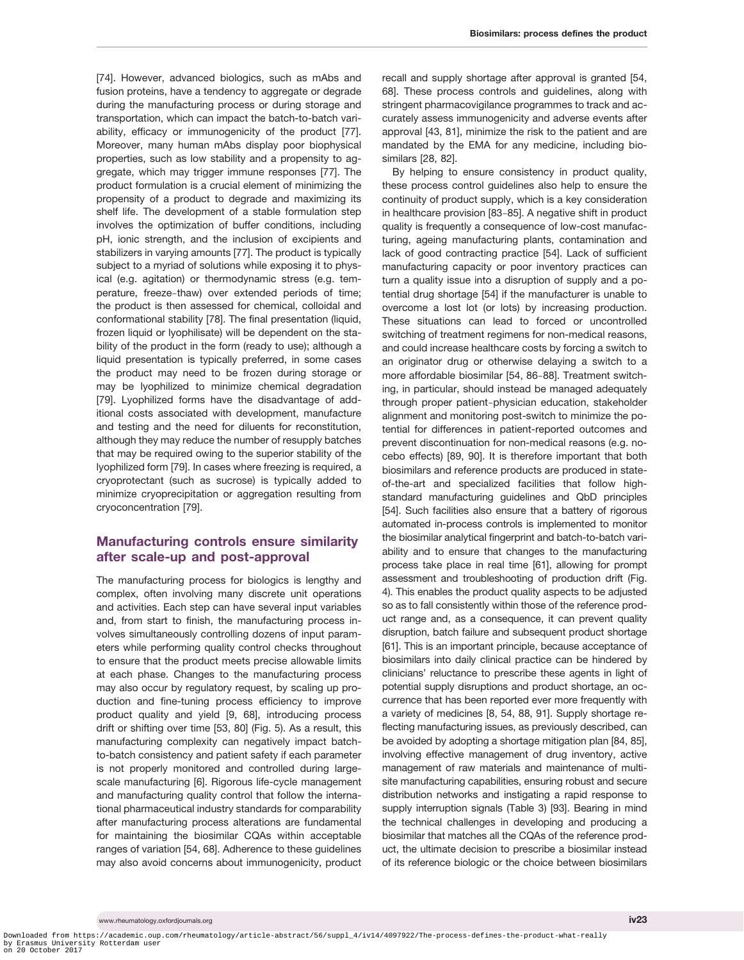[[74\]](#page-14-0). However, advanced biologics, such as mAbs and fusion proteins, have a tendency to aggregate or degrade during the manufacturing process or during storage and transportation, which can impact the batch-to-batch variability, efficacy or immunogenicity of the product [[77](#page-14-0)]. Moreover, many human mAbs display poor biophysical properties, such as low stability and a propensity to aggregate, which may trigger immune responses [\[77](#page-14-0)]. The product formulation is a crucial element of minimizing the propensity of a product to degrade and maximizing its shelf life. The development of a stable formulation step involves the optimization of buffer conditions, including pH, ionic strength, and the inclusion of excipients and stabilizers in varying amounts [[77\]](#page-14-0). The product is typically subject to a myriad of solutions while exposing it to physical (e.g. agitation) or thermodynamic stress (e.g. temperature, freeze-thaw) over extended periods of time; the product is then assessed for chemical, colloidal and conformational stability [\[78](#page-14-0)]. The final presentation (liquid, frozen liquid or lyophilisate) will be dependent on the stability of the product in the form (ready to use); although a liquid presentation is typically preferred, in some cases the product may need to be frozen during storage or may be lyophilized to minimize chemical degradation [[79\]](#page-14-0). Lyophilized forms have the disadvantage of additional costs associated with development, manufacture and testing and the need for diluents for reconstitution, although they may reduce the number of resupply batches that may be required owing to the superior stability of the lyophilized form [[79](#page-14-0)]. In cases where freezing is required, a cryoprotectant (such as sucrose) is typically added to minimize cryoprecipitation or aggregation resulting from cryoconcentration [[79](#page-14-0)].

# Manufacturing controls ensure similarity after scale-up and post-approval

The manufacturing process for biologics is lengthy and complex, often involving many discrete unit operations and activities. Each step can have several input variables and, from start to finish, the manufacturing process involves simultaneously controlling dozens of input parameters while performing quality control checks throughout to ensure that the product meets precise allowable limits at each phase. Changes to the manufacturing process may also occur by regulatory request, by scaling up production and fine-tuning process efficiency to improve product quality and yield [\[9](#page-12-0), [68\]](#page-14-0), introducing process drift or shifting over time [\[53,](#page-13-0) [80](#page-14-0)] (Fig. 5). As a result, this manufacturing complexity can negatively impact batchto-batch consistency and patient safety if each parameter is not properly monitored and controlled during largescale manufacturing [[6\]](#page-12-0). Rigorous life-cycle management and manufacturing quality control that follow the international pharmaceutical industry standards for comparability after manufacturing process alterations are fundamental for maintaining the biosimilar CQAs within acceptable ranges of variation [\[54,](#page-13-0) [68\]](#page-14-0). Adherence to these guidelines may also avoid concerns about immunogenicity, product

recall and supply shortage after approval is granted [\[54,](#page-13-0) [68\]](#page-14-0). These process controls and guidelines, along with stringent pharmacovigilance programmes to track and accurately assess immunogenicity and adverse events after approval [[43,](#page-13-0) [81](#page-14-0)], minimize the risk to the patient and are mandated by the EMA for any medicine, including biosimilars [\[28,](#page-13-0) [82](#page-14-0)].

By helping to ensure consistency in product quality, these process control guidelines also help to ensure the continuity of product supply, which is a key consideration in healthcare provision [\[83](#page-14-0)-[85](#page-14-0)]. A negative shift in product quality is frequently a consequence of low-cost manufacturing, ageing manufacturing plants, contamination and lack of good contracting practice [\[54\]](#page-13-0). Lack of sufficient manufacturing capacity or poor inventory practices can turn a quality issue into a disruption of supply and a potential drug shortage [[54](#page-13-0)] if the manufacturer is unable to overcome a lost lot (or lots) by increasing production. These situations can lead to forced or uncontrolled switching of treatment regimens for non-medical reasons, and could increase healthcare costs by forcing a switch to an originator drug or otherwise delaying a switch to a more affordable biosimilar [\[54](#page-13-0), [86](#page-14-0)-[88](#page-14-0)]. Treatment switching, in particular, should instead be managed adequately through proper patient-physician education, stakeholder alignment and monitoring post-switch to minimize the potential for differences in patient-reported outcomes and prevent discontinuation for non-medical reasons (e.g. nocebo effects) [\[89, 90\]](#page-14-0). It is therefore important that both biosimilars and reference products are produced in stateof-the-art and specialized facilities that follow highstandard manufacturing guidelines and QbD principles [[54\]](#page-13-0). Such facilities also ensure that a battery of rigorous automated in-process controls is implemented to monitor the biosimilar analytical fingerprint and batch-to-batch variability and to ensure that changes to the manufacturing process take place in real time [[61\]](#page-14-0), allowing for prompt assessment and troubleshooting of production drift [\(Fig.](#page-5-0) [4](#page-5-0)). This enables the product quality aspects to be adjusted so as to fall consistently within those of the reference product range and, as a consequence, it can prevent quality disruption, batch failure and subsequent product shortage [[61\]](#page-14-0). This is an important principle, because acceptance of biosimilars into daily clinical practice can be hindered by clinicians' reluctance to prescribe these agents in light of potential supply disruptions and product shortage, an occurrence that has been reported ever more frequently with a variety of medicines [[8](#page-12-0), [54,](#page-13-0) [88](#page-14-0), [91\]](#page-14-0). Supply shortage reflecting manufacturing issues, as previously described, can be avoided by adopting a shortage mitigation plan [\[84, 85](#page-14-0)], involving effective management of drug inventory, active management of raw materials and maintenance of multisite manufacturing capabilities, ensuring robust and secure distribution networks and instigating a rapid response to supply interruption signals [\(Table 3\)](#page-11-0) [[93\]](#page-15-0). Bearing in mind the technical challenges in developing and producing a biosimilar that matches all the CQAs of the reference product, the ultimate decision to prescribe a biosimilar instead of its reference biologic or the choice between biosimilars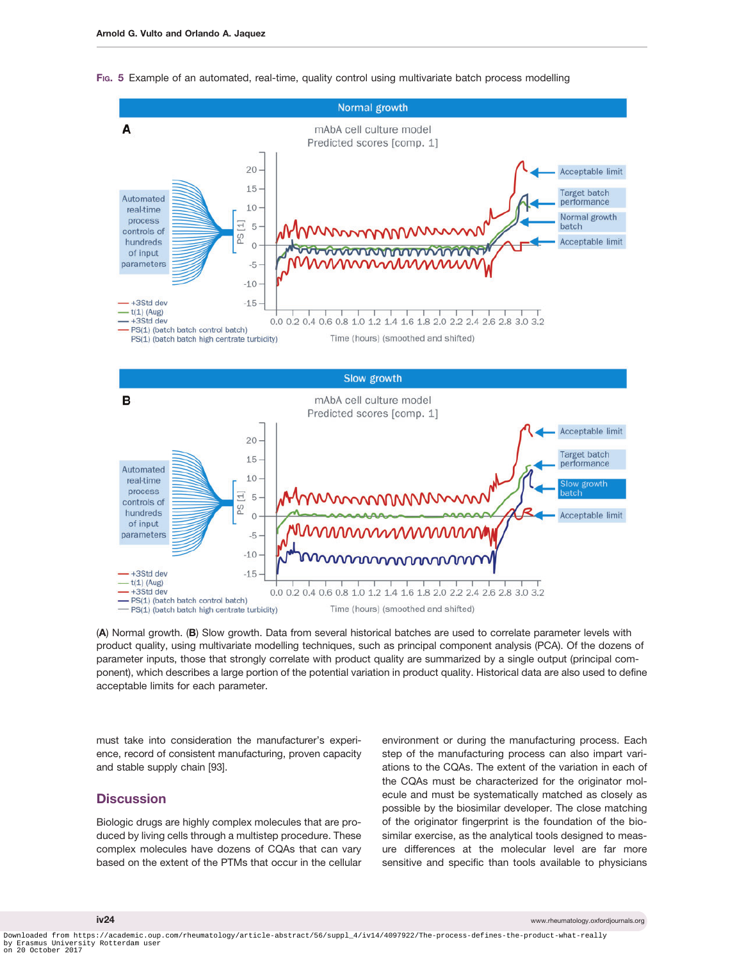

FIG. 5 Example of an automated, real-time, quality control using multivariate batch process modelling

(A) Normal growth. (B) Slow growth. Data from several historical batches are used to correlate parameter levels with product quality, using multivariate modelling techniques, such as principal component analysis (PCA). Of the dozens of parameter inputs, those that strongly correlate with product quality are summarized by a single output (principal component), which describes a large portion of the potential variation in product quality. Historical data are also used to define acceptable limits for each parameter.

must take into consideration the manufacturer's experience, record of consistent manufacturing, proven capacity and stable supply chain [[93\]](#page-15-0).

# **Discussion**

Biologic drugs are highly complex molecules that are produced by living cells through a multistep procedure. These complex molecules have dozens of CQAs that can vary based on the extent of the PTMs that occur in the cellular

environment or during the manufacturing process. Each step of the manufacturing process can also impart variations to the CQAs. The extent of the variation in each of the CQAs must be characterized for the originator molecule and must be systematically matched as closely as possible by the biosimilar developer. The close matching of the originator fingerprint is the foundation of the biosimilar exercise, as the analytical tools designed to measure differences at the molecular level are far more sensitive and specific than tools available to physicians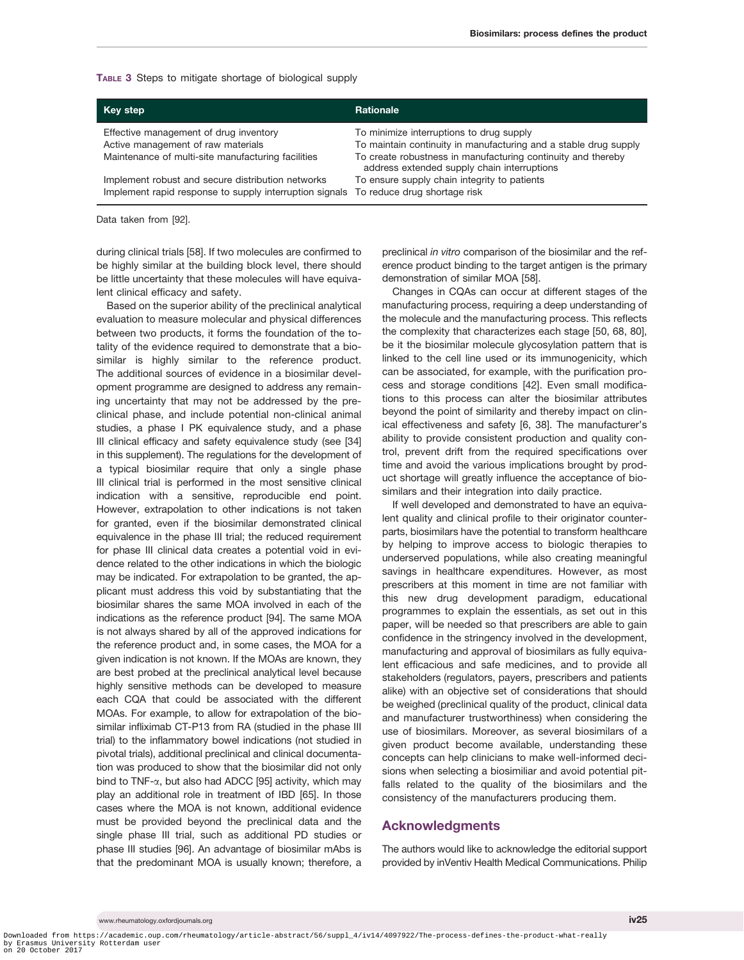#### <span id="page-11-0"></span>TABLE 3 Steps to mitigate shortage of biological supply

| Key step                                                | <b>Rationale</b>                                                                                            |
|---------------------------------------------------------|-------------------------------------------------------------------------------------------------------------|
| Effective management of drug inventory                  | To minimize interruptions to drug supply                                                                    |
| Active management of raw materials                      | To maintain continuity in manufacturing and a stable drug supply                                            |
| Maintenance of multi-site manufacturing facilities      | To create robustness in manufacturing continuity and thereby<br>address extended supply chain interruptions |
| Implement robust and secure distribution networks       | To ensure supply chain integrity to patients                                                                |
| Implement rapid response to supply interruption signals | To reduce drug shortage risk                                                                                |

Data taken from [[92\]](#page-15-0).

during clinical trials [[58](#page-13-0)]. If two molecules are confirmed to be highly similar at the building block level, there should be little uncertainty that these molecules will have equivalent clinical efficacy and safety.

Based on the superior ability of the preclinical analytical evaluation to measure molecular and physical differences between two products, it forms the foundation of the totality of the evidence required to demonstrate that a biosimilar is highly similar to the reference product. The additional sources of evidence in a biosimilar development programme are designed to address any remaining uncertainty that may not be addressed by the preclinical phase, and include potential non-clinical animal studies, a phase I PK equivalence study, and a phase III clinical efficacy and safety equivalence study (see [\[34](#page-13-0)] in this supplement). The regulations for the development of a typical biosimilar require that only a single phase III clinical trial is performed in the most sensitive clinical indication with a sensitive, reproducible end point. However, extrapolation to other indications is not taken for granted, even if the biosimilar demonstrated clinical equivalence in the phase III trial; the reduced requirement for phase III clinical data creates a potential void in evidence related to the other indications in which the biologic may be indicated. For extrapolation to be granted, the applicant must address this void by substantiating that the biosimilar shares the same MOA involved in each of the indications as the reference product [\[94\]](#page-15-0). The same MOA is not always shared by all of the approved indications for the reference product and, in some cases, the MOA for a given indication is not known. If the MOAs are known, they are best probed at the preclinical analytical level because highly sensitive methods can be developed to measure each CQA that could be associated with the different MOAs. For example, to allow for extrapolation of the biosimilar infliximab CT-P13 from RA (studied in the phase III trial) to the inflammatory bowel indications (not studied in pivotal trials), additional preclinical and clinical documentation was produced to show that the biosimilar did not only bind to TNF- $\alpha$ , but also had ADCC [[95](#page-15-0)] activity, which may play an additional role in treatment of IBD [\[65](#page-14-0)]. In those cases where the MOA is not known, additional evidence must be provided beyond the preclinical data and the single phase III trial, such as additional PD studies or phase III studies [\[96\]](#page-15-0). An advantage of biosimilar mAbs is that the predominant MOA is usually known; therefore, a

preclinical in vitro comparison of the biosimilar and the reference product binding to the target antigen is the primary demonstration of similar MOA [[58\]](#page-13-0).

Changes in CQAs can occur at different stages of the manufacturing process, requiring a deep understanding of the molecule and the manufacturing process. This reflects the complexity that characterizes each stage [\[50,](#page-13-0) [68, 80](#page-14-0)], be it the biosimilar molecule glycosylation pattern that is linked to the cell line used or its immunogenicity, which can be associated, for example, with the purification process and storage conditions [[42](#page-13-0)]. Even small modifications to this process can alter the biosimilar attributes beyond the point of similarity and thereby impact on clinical effectiveness and safety [\[6](#page-12-0), [38](#page-13-0)]. The manufacturer's ability to provide consistent production and quality control, prevent drift from the required specifications over time and avoid the various implications brought by product shortage will greatly influence the acceptance of biosimilars and their integration into daily practice.

If well developed and demonstrated to have an equivalent quality and clinical profile to their originator counterparts, biosimilars have the potential to transform healthcare by helping to improve access to biologic therapies to underserved populations, while also creating meaningful savings in healthcare expenditures. However, as most prescribers at this moment in time are not familiar with this new drug development paradigm, educational programmes to explain the essentials, as set out in this paper, will be needed so that prescribers are able to gain confidence in the stringency involved in the development, manufacturing and approval of biosimilars as fully equivalent efficacious and safe medicines, and to provide all stakeholders (regulators, payers, prescribers and patients alike) with an objective set of considerations that should be weighed (preclinical quality of the product, clinical data and manufacturer trustworthiness) when considering the use of biosimilars. Moreover, as several biosimilars of a given product become available, understanding these concepts can help clinicians to make well-informed decisions when selecting a biosimiliar and avoid potential pitfalls related to the quality of the biosimilars and the consistency of the manufacturers producing them.

# Acknowledgments

The authors would like to acknowledge the editorial support provided by inVentiv Health Medical Communications. Philip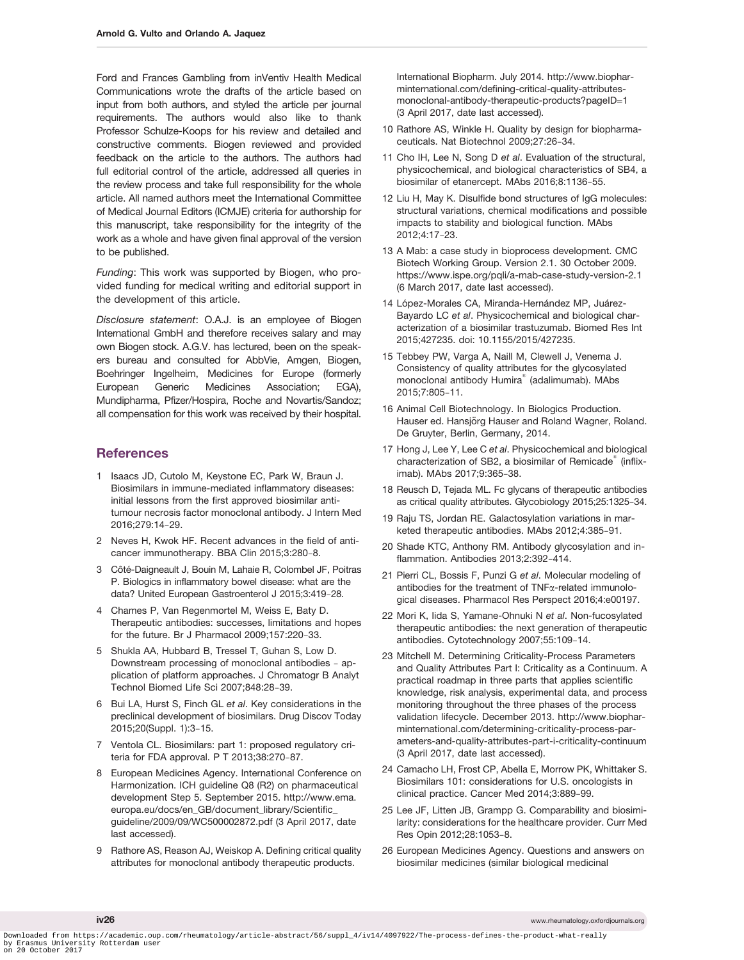<span id="page-12-0"></span>Ford and Frances Gambling from inVentiv Health Medical Communications wrote the drafts of the article based on input from both authors, and styled the article per journal requirements. The authors would also like to thank Professor Schulze-Koops for his review and detailed and constructive comments. Biogen reviewed and provided feedback on the article to the authors. The authors had full editorial control of the article, addressed all queries in the review process and take full responsibility for the whole article. All named authors meet the International Committee of Medical Journal Editors (ICMJE) criteria for authorship for this manuscript, take responsibility for the integrity of the work as a whole and have given final approval of the version to be published.

Funding: This work was supported by Biogen, who provided funding for medical writing and editorial support in the development of this article.

Disclosure statement: O.A.J. is an employee of Biogen International GmbH and therefore receives salary and may own Biogen stock. A.G.V. has lectured, been on the speakers bureau and consulted for AbbVie, Amgen, Biogen, Boehringer Ingelheim, Medicines for Europe (formerly European Generic Medicines Association; EGA), Mundipharma, Pfizer/Hospira, Roche and Novartis/Sandoz; all compensation for this work was received by their hospital.

### **References**

- 1 Isaacs JD, Cutolo M, Keystone EC, Park W, Braun J. Biosimilars in immune-mediated inflammatory diseases: initial lessons from the first approved biosimilar antitumour necrosis factor monoclonal antibody. J Intern Med 2016;279:14-29.
- 2 Neves H, Kwok HF. Recent advances in the field of anticancer immunotherapy. BBA Clin 2015;3:280-8.
- Côté-Daigneault J, Bouin M, Lahaie R, Colombel JF, Poitras P. Biologics in inflammatory bowel disease: what are the data? United European Gastroenterol J 2015;3:419-28.
- 4 Chames P, Van Regenmortel M, Weiss E, Baty D. Therapeutic antibodies: successes, limitations and hopes for the future. Br J Pharmacol 2009;157:220-33.
- 5 Shukla AA, Hubbard B, Tressel T, Guhan S, Low D. Downstream processing of monoclonal antibodies - application of platform approaches. J Chromatogr B Analyt Technol Biomed Life Sci 2007;848:28-39.
- 6 Bui LA, Hurst S, Finch GL et al. Key considerations in the preclinical development of biosimilars. Drug Discov Today 2015;20(Suppl. 1):3-15.
- 7 Ventola CL. Biosimilars: part 1: proposed regulatory criteria for FDA approval. P T 2013;38:270-87.
- 8 European Medicines Agency. International Conference on Harmonization. ICH guideline Q8 (R2) on pharmaceutical development Step 5. September 2015. [http://www.ema.](http://www.ema.europa.eu/docs/en_GB/document_library/Scientific_guideline/2009/09/WC500002872.pdf) europa.eu/docs/en\_GB/document\_library/Scientific [guideline/2009/09/WC500002872.pdf](http://www.ema.europa.eu/docs/en_GB/document_library/Scientific_guideline/2009/09/WC500002872.pdf) (3 April 2017, date last accessed).
- 9 Rathore AS, Reason AJ, Weiskop A. Defining critical quality attributes for monoclonal antibody therapeutic products.

International Biopharm. July 2014. [http://www.biophar](http://www.biopharminternational.com/defining-critical-quality-attributes-monoclonal-antibody-therapeutic-products?pageID=1)[minternational.com/defining-critical-quality-attributes](http://www.biopharminternational.com/defining-critical-quality-attributes-monoclonal-antibody-therapeutic-products?pageID=1)[monoclonal-antibody-therapeutic-products?pageID=1](http://www.biopharminternational.com/defining-critical-quality-attributes-monoclonal-antibody-therapeutic-products?pageID=1) (3 April 2017, date last accessed).

- 10 Rathore AS, Winkle H. Quality by design for biopharmaceuticals. Nat Biotechnol 2009;27:26-34.
- 11 Cho IH, Lee N, Song D et al. Evaluation of the structural, physicochemical, and biological characteristics of SB4, a biosimilar of etanercept. MAbs 2016;8:1136-55.
- 12 Liu H, May K. Disulfide bond structures of IgG molecules: structural variations, chemical modifications and possible impacts to stability and biological function. MAbs 2012;4:17-23.
- 13 A Mab: a case study in bioprocess development. CMC Biotech Working Group. Version 2.1. 30 October 2009. <https://www.ispe.org/pqli/a-mab-case-study-version-2.1> (6 March 2017, date last accessed).
- 14 López-Morales CA, Miranda-Hernández MP, Juárez-Bayardo LC et al. Physicochemical and biological characterization of a biosimilar trastuzumab. Biomed Res Int 2015;427235. doi: 10.1155/2015/427235.
- 15 Tebbey PW, Varga A, Naill M, Clewell J, Venema J. Consistency of quality attributes for the glycosylated monoclonal antibody Humira<sup>®</sup> (adalimumab). MAbs 2015;7:805-11.
- 16 Animal Cell Biotechnology. In Biologics Production. Hauser ed. Hansjörg Hauser and Roland Wagner, Roland. De Gruyter, Berlin, Germany, 2014.
- 17 Hong J, Lee Y, Lee C et al. Physicochemical and biological characterization of SB2, a biosimilar of Remicade<sup>®</sup> (infliximab). MAbs 2017;9:365-38.
- 18 Reusch D, Tejada ML. Fc glycans of therapeutic antibodies as critical quality attributes. Glycobiology 2015;25:1325-34.
- 19 Raju TS, Jordan RE. Galactosylation variations in marketed therapeutic antibodies. MAbs 2012;4:385-91.
- 20 Shade KTC, Anthony RM. Antibody glycosylation and inflammation. Antibodies 2013;2:392-414.
- 21 Pierri CL, Bossis F, Punzi G et al. Molecular modeling of antibodies for the treatment of TNFa-related immunological diseases. Pharmacol Res Perspect 2016;4:e00197.
- 22 Mori K, Iida S, Yamane-Ohnuki N et al. Non-fucosylated therapeutic antibodies: the next generation of therapeutic antibodies. Cytotechnology 2007;55:109-14.
- 23 Mitchell M. Determining Criticality-Process Parameters and Quality Attributes Part I: Criticality as a Continuum. A practical roadmap in three parts that applies scientific knowledge, risk analysis, experimental data, and process monitoring throughout the three phases of the process validation lifecycle. December 2013. [http://www.biophar](http://www.biopharminternational.com/determining-criticality-process-parameters-and-quality-attributes-part-i-criticality-continuum)[minternational.com/determining-criticality-process-par](http://www.biopharminternational.com/determining-criticality-process-parameters-and-quality-attributes-part-i-criticality-continuum)[ameters-and-quality-attributes-part-i-criticality-continuum](http://www.biopharminternational.com/determining-criticality-process-parameters-and-quality-attributes-part-i-criticality-continuum) (3 April 2017, date last accessed).
- 24 Camacho LH, Frost CP, Abella E, Morrow PK, Whittaker S. Biosimilars 101: considerations for U.S. oncologists in clinical practice. Cancer Med 2014;3:889-99.
- 25 Lee JF, Litten JB, Grampp G. Comparability and biosimilarity: considerations for the healthcare provider. Curr Med Res Opin 2012;28:1053-8.
- 26 European Medicines Agency. Questions and answers on biosimilar medicines (similar biological medicinal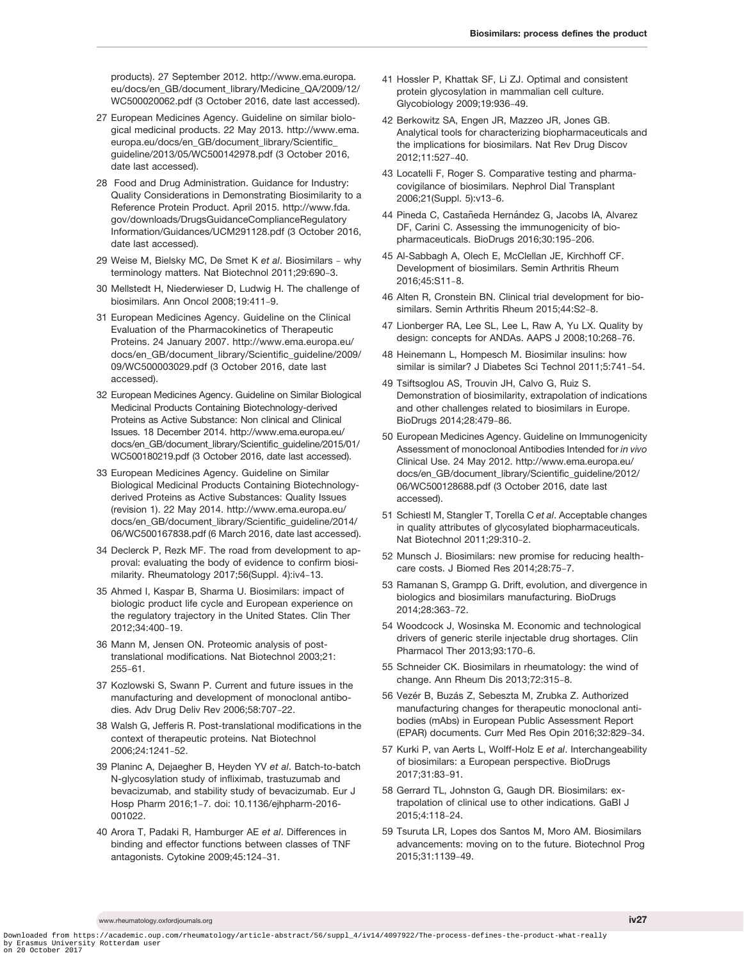<span id="page-13-0"></span>products). 27 September 2012. [http://www.ema.europa.](http://www.ema.europa.eu/docs/en_GB/document_library/Medicine_QA/2009/12/WC500020062.pdf) [eu/docs/en\\_GB/document\\_library/Medicine\\_QA/2009/12/](http://www.ema.europa.eu/docs/en_GB/document_library/Medicine_QA/2009/12/WC500020062.pdf) [WC500020062.pdf](http://www.ema.europa.eu/docs/en_GB/document_library/Medicine_QA/2009/12/WC500020062.pdf) (3 October 2016, date last accessed).

- 27 European Medicines Agency. Guideline on similar biological medicinal products. 22 May 2013. [http://www.ema.](http://www.ema.europa.eu/docs/en_GB/document_library/Scientific_guideline/2013/05/WC500142978.pdf) europa.eu/docs/en\_GB/document\_library/Scientific [guideline/2013/05/WC500142978.pdf](http://www.ema.europa.eu/docs/en_GB/document_library/Scientific_guideline/2013/05/WC500142978.pdf) (3 October 2016, date last accessed).
- 28 Food and Drug Administration. Guidance for Industry: Quality Considerations in Demonstrating Biosimilarity to a Reference Protein Product. April 2015. [http://www.fda.](http://www.fda.gov/downloads/DrugsGuidanceComplianceRegulatoryInformation/Guidances/UCM291128.pdf) [gov/downloads/DrugsGuidanceComplianceRegulatory](http://www.fda.gov/downloads/DrugsGuidanceComplianceRegulatoryInformation/Guidances/UCM291128.pdf) [Information/Guidances/UCM291128.pdf](http://www.fda.gov/downloads/DrugsGuidanceComplianceRegulatoryInformation/Guidances/UCM291128.pdf) (3 October 2016, date last accessed).
- 29 Weise M, Bielsky MC, De Smet K et al. Biosimilars why terminology matters. Nat Biotechnol 2011;29:690-3.
- 30 Mellstedt H, Niederwieser D, Ludwig H. The challenge of biosimilars. Ann Oncol 2008;19:411-9.
- 31 European Medicines Agency. Guideline on the Clinical Evaluation of the Pharmacokinetics of Therapeutic Proteins. 24 January 2007. [http://www.ema.europa.eu/](http://www.ema.europa.eu/docs/en_GB/document_library/Scientific_guideline/2009/09/WC500003029.pdf) [docs/en\\_GB/document\\_library/Scientific\\_guideline/2009/](http://www.ema.europa.eu/docs/en_GB/document_library/Scientific_guideline/2009/09/WC500003029.pdf) [09/WC500003029.pdf](http://www.ema.europa.eu/docs/en_GB/document_library/Scientific_guideline/2009/09/WC500003029.pdf) (3 October 2016, date last accessed).
- 32 European Medicines Agency. Guideline on Similar Biological Medicinal Products Containing Biotechnology-derived Proteins as Active Substance: Non clinical and Clinical Issues. 18 December 2014. [http://www.ema.europa.eu/](http://www.ema.europa.eu/docs/en_GB/document_library/Scientific_guideline/2015/01/WC500180219.pdf) [docs/en\\_GB/document\\_library/Scientific\\_guideline/2015/01/](http://www.ema.europa.eu/docs/en_GB/document_library/Scientific_guideline/2015/01/WC500180219.pdf) [WC500180219.pdf](http://www.ema.europa.eu/docs/en_GB/document_library/Scientific_guideline/2015/01/WC500180219.pdf) (3 October 2016, date last accessed).
- 33 European Medicines Agency. Guideline on Similar Biological Medicinal Products Containing Biotechnologyderived Proteins as Active Substances: Quality Issues (revision 1). 22 May 2014. [http://www.ema.europa.eu/](http://www.ema.europa.eu/docs/en_GB/document_library/Scientific_guideline/2014/06/WC500167838.pdf) [docs/en\\_GB/document\\_library/Scientific\\_guideline/2014/](http://www.ema.europa.eu/docs/en_GB/document_library/Scientific_guideline/2014/06/WC500167838.pdf) [06/WC500167838.pdf](http://www.ema.europa.eu/docs/en_GB/document_library/Scientific_guideline/2014/06/WC500167838.pdf) (6 March 2016, date last accessed).
- 34 Declerck P, Rezk MF. The road from development to approval: evaluating the body of evidence to confirm biosimilarity. Rheumatology 2017;56(Suppl. 4):iv4-13.
- 35 Ahmed I, Kaspar B, Sharma U. Biosimilars: impact of biologic product life cycle and European experience on the regulatory trajectory in the United States. Clin Ther 2012;34:400-19.
- 36 Mann M, Jensen ON. Proteomic analysis of posttranslational modifications. Nat Biotechnol 2003;21: 255-61.
- 37 Kozlowski S, Swann P. Current and future issues in the manufacturing and development of monoclonal antibodies. Adv Drug Deliv Rev 2006;58:707-22.
- 38 Walsh G, Jefferis R. Post-translational modifications in the context of therapeutic proteins. Nat Biotechnol 2006;24:1241-52.
- 39 Planinc A, Dejaegher B, Heyden YV et al. Batch-to-batch N-glycosylation study of infliximab, trastuzumab and bevacizumab, and stability study of bevacizumab. Eur J Hosp Pharm 2016;1-7. doi: 10.1136/ejhpharm-2016- 001022.
- 40 Arora T, Padaki R, Hamburger AE et al. Differences in binding and effector functions between classes of TNF antagonists. Cytokine 2009;45:124-31.
- 41 Hossler P, Khattak SF, Li ZJ. Optimal and consistent protein glycosylation in mammalian cell culture. Glycobiology 2009;19:936-49.
- 42 Berkowitz SA, Engen JR, Mazzeo JR, Jones GB. Analytical tools for characterizing biopharmaceuticals and the implications for biosimilars. Nat Rev Drug Discov 2012;11:527-40.
- 43 Locatelli F, Roger S. Comparative testing and pharmacovigilance of biosimilars. Nephrol Dial Transplant 2006;21(Suppl. 5):v13-6.
- 44 Pineda C, Castañeda Hernández G, Jacobs IA, Alvarez DF, Carini C. Assessing the immunogenicity of biopharmaceuticals. BioDrugs 2016;30:195-206.
- 45 Al-Sabbagh A, Olech E, McClellan JE, Kirchhoff CF. Development of biosimilars. Semin Arthritis Rheum 2016;45:S11-8.
- 46 Alten R, Cronstein BN. Clinical trial development for biosimilars. Semin Arthritis Rheum 2015;44:S2-8.
- 47 Lionberger RA, Lee SL, Lee L, Raw A, Yu LX. Quality by design: concepts for ANDAs. AAPS J 2008;10:268-76.
- 48 Heinemann L, Hompesch M. Biosimilar insulins: how similar is similar? J Diabetes Sci Technol 2011;5:741-54.
- 49 Tsiftsoglou AS, Trouvin JH, Calvo G, Ruiz S. Demonstration of biosimilarity, extrapolation of indications and other challenges related to biosimilars in Europe. BioDrugs 2014;28:479-86.
- 50 European Medicines Agency. Guideline on Immunogenicity Assessment of monoclonoal Antibodies Intended for in vivo Clinical Use. 24 May 2012. [http://www.ema.europa.eu/](http://www.ema.europa.eu/docs/en_GB/document_library/Scientific_guideline/2012/06/WC500128688.pdf) [docs/en\\_GB/document\\_library/Scientific\\_guideline/2012/](http://www.ema.europa.eu/docs/en_GB/document_library/Scientific_guideline/2012/06/WC500128688.pdf) [06/WC500128688.pdf](http://www.ema.europa.eu/docs/en_GB/document_library/Scientific_guideline/2012/06/WC500128688.pdf) (3 October 2016, date last accessed).
- 51 Schiestl M, Stangler T, Torella C et al. Acceptable changes in quality attributes of glycosylated biopharmaceuticals. Nat Biotechnol 2011;29:310-2.
- 52 Munsch J. Biosimilars: new promise for reducing healthcare costs. J Biomed Res 2014;28:75-7.
- 53 Ramanan S, Grampp G. Drift, evolution, and divergence in biologics and biosimilars manufacturing. BioDrugs 2014;28:363-72.
- 54 Woodcock J, Wosinska M. Economic and technological drivers of generic sterile injectable drug shortages. Clin Pharmacol Ther 2013;93:170-6.
- 55 Schneider CK. Biosimilars in rheumatology: the wind of change. Ann Rheum Dis 2013;72:315-8.
- 56 Vezér B, Buzás Z, Sebeszta M, Zrubka Z. Authorized manufacturing changes for therapeutic monoclonal antibodies (mAbs) in European Public Assessment Report (EPAR) documents. Curr Med Res Opin 2016;32:829-34.
- 57 Kurki P, van Aerts L, Wolff-Holz E et al. Interchangeability of biosimilars: a European perspective. BioDrugs 2017;31:83-91.
- 58 Gerrard TL, Johnston G, Gaugh DR. Biosimilars: extrapolation of clinical use to other indications. GaBI J 2015;4:118-24.
- 59 Tsuruta LR, Lopes dos Santos M, Moro AM. Biosimilars advancements: moving on to the future. Biotechnol Prog 2015;31:1139-49.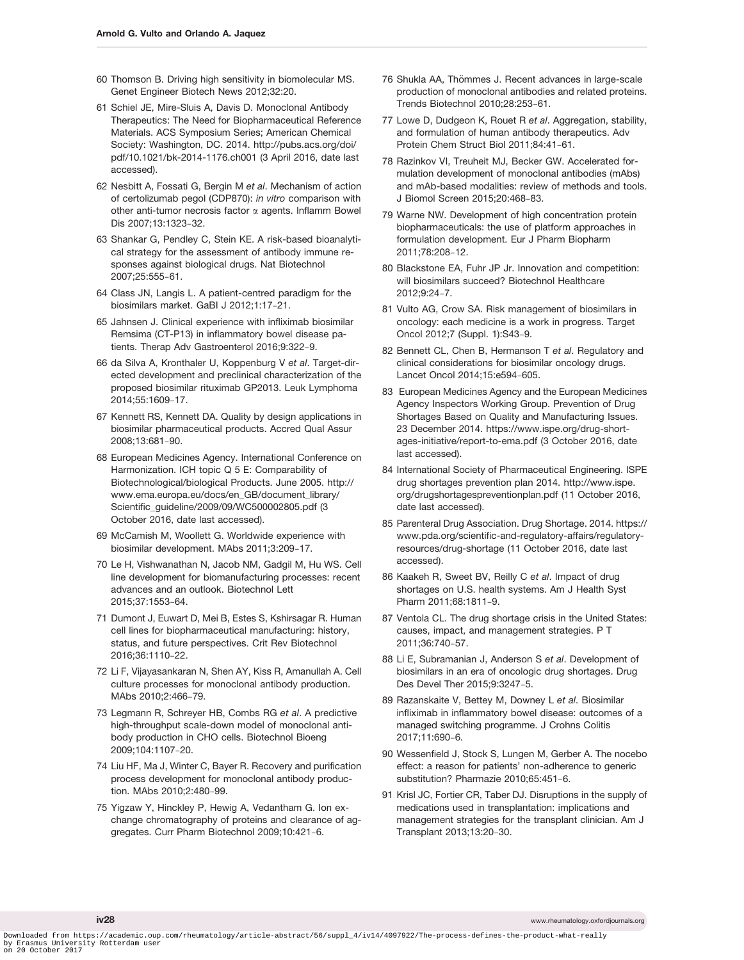- <span id="page-14-0"></span>60 Thomson B. Driving high sensitivity in biomolecular MS. Genet Engineer Biotech News 2012;32:20.
- 61 Schiel JE, Mire-Sluis A, Davis D. Monoclonal Antibody Therapeutics: The Need for Biopharmaceutical Reference Materials. ACS Symposium Series; American Chemical Society: Washington, DC. 2014. [http://pubs.acs.org/doi/](http://pubs.acs.org/doi/pdf/10.1021/bk-2014-1176.ch001) [pdf/10.1021/bk-2014-1176.ch001](http://pubs.acs.org/doi/pdf/10.1021/bk-2014-1176.ch001) (3 April 2016, date last accessed).
- 62 Nesbitt A, Fossati G, Bergin M et al. Mechanism of action of certolizumab pegol (CDP870): in vitro comparison with other anti-tumor necrosis factor  $\alpha$  agents. Inflamm Bowel Dis 2007;13:1323-32.
- 63 Shankar G, Pendley C, Stein KE. A risk-based bioanalytical strategy for the assessment of antibody immune responses against biological drugs. Nat Biotechnol 2007;25:555-61.
- 64 Class JN, Langis L. A patient-centred paradigm for the biosimilars market. GaBI J 2012;1:17-21.
- 65 Jahnsen J. Clinical experience with infliximab biosimilar Remsima (CT-P13) in inflammatory bowel disease patients. Therap Adv Gastroenterol 2016;9:322-9.
- 66 da Silva A, Kronthaler U, Koppenburg V et al. Target-directed development and preclinical characterization of the proposed biosimilar rituximab GP2013. Leuk Lymphoma 2014;55:1609-17.
- 67 Kennett RS, Kennett DA. Quality by design applications in biosimilar pharmaceutical products. Accred Qual Assur 2008;13:681-90.
- 68 European Medicines Agency. International Conference on Harmonization. ICH topic Q 5 E: Comparability of Biotechnological/biological Products. June 2005. [http://](http://www.ema.europa.eu/docs/en_GB/document_library/Scientific_guideline/2009/09/WC500002805.pdf) [www.ema.europa.eu/docs/en\\_GB/document\\_library/](http://www.ema.europa.eu/docs/en_GB/document_library/Scientific_guideline/2009/09/WC500002805.pdf) [Scientific\\_guideline/2009/09/WC500002805.pdf](http://www.ema.europa.eu/docs/en_GB/document_library/Scientific_guideline/2009/09/WC500002805.pdf) (3 October 2016, date last accessed).
- 69 McCamish M, Woollett G. Worldwide experience with biosimilar development. MAbs 2011;3:209-17.
- 70 Le H, Vishwanathan N, Jacob NM, Gadgil M, Hu WS. Cell line development for biomanufacturing processes: recent advances and an outlook. Biotechnol Lett 2015;37:1553-64.
- 71 Dumont J, Euwart D, Mei B, Estes S, Kshirsagar R. Human cell lines for biopharmaceutical manufacturing: history, status, and future perspectives. Crit Rev Biotechnol 2016;36:1110-22.
- 72 Li F, Vijayasankaran N, Shen AY, Kiss R, Amanullah A. Cell culture processes for monoclonal antibody production. MAbs 2010;2:466-79.
- 73 Legmann R, Schreyer HB, Combs RG et al. A predictive high-throughput scale-down model of monoclonal antibody production in CHO cells. Biotechnol Bioeng 2009;104:1107-20.
- 74 Liu HF, Ma J, Winter C, Bayer R. Recovery and purification process development for monoclonal antibody production. MAbs 2010;2:480-99.
- 75 Yigzaw Y, Hinckley P, Hewig A, Vedantham G. Ion exchange chromatography of proteins and clearance of aggregates. Curr Pharm Biotechnol 2009;10:421-6.
- 76 Shukla AA, Thömmes J. Recent advances in large-scale production of monoclonal antibodies and related proteins. Trends Biotechnol 2010;28:253-61.
- 77 Lowe D, Dudgeon K, Rouet R et al. Aggregation, stability, and formulation of human antibody therapeutics. Adv Protein Chem Struct Biol 2011;84:41-61.
- 78 Razinkov VI, Treuheit MJ, Becker GW. Accelerated formulation development of monoclonal antibodies (mAbs) and mAb-based modalities: review of methods and tools. J Biomol Screen 2015;20:468-83.
- 79 Warne NW. Development of high concentration protein biopharmaceuticals: the use of platform approaches in formulation development. Eur J Pharm Biopharm 2011;78:208-12.
- 80 Blackstone EA, Fuhr JP Jr. Innovation and competition: will biosimilars succeed? Biotechnol Healthcare 2012;9:24-7.
- 81 Vulto AG, Crow SA. Risk management of biosimilars in oncology: each medicine is a work in progress. Target Oncol 2012;7 (Suppl. 1):S43-9.
- 82 Bennett CL, Chen B, Hermanson T et al. Regulatory and clinical considerations for biosimilar oncology drugs. Lancet Oncol 2014;15:e594-605.
- 83 European Medicines Agency and the European Medicines Agency Inspectors Working Group. Prevention of Drug Shortages Based on Quality and Manufacturing Issues. 23 December 2014. [https://www.ispe.org/drug-short](https://www.ispe.org/drug-shortages-initiative/report-to-ema.pdf)[ages-initiative/report-to-ema.pdf](https://www.ispe.org/drug-shortages-initiative/report-to-ema.pdf) (3 October 2016, date last accessed).
- 84 International Society of Pharmaceutical Engineering. ISPE drug shortages prevention plan 2014. [http://www.ispe.](http://www.ispe.org/drugshortagespreventionplan.pdf) [org/drugshortagespreventionplan.pdf](http://www.ispe.org/drugshortagespreventionplan.pdf) (11 October 2016, date last accessed).
- 85 Parenteral Drug Association. Drug Shortage. 2014. [https://](https://www.pda.org/scientific-and-regulatory-affairs/regulatory-resources/drug-shortage) [www.pda.org/scientific-and-regulatory-affairs/regulatory](https://www.pda.org/scientific-and-regulatory-affairs/regulatory-resources/drug-shortage)[resources/drug-shortage](https://www.pda.org/scientific-and-regulatory-affairs/regulatory-resources/drug-shortage) (11 October 2016, date last accessed).
- 86 Kaakeh R, Sweet BV, Reilly C et al. Impact of drug shortages on U.S. health systems. Am J Health Syst Pharm 2011;68:1811-9.
- 87 Ventola CL. The drug shortage crisis in the United States: causes, impact, and management strategies. P T 2011;36:740-57.
- 88 Li E, Subramanian J, Anderson S et al. Development of biosimilars in an era of oncologic drug shortages. Drug Des Devel Ther 2015;9:3247-5.
- 89 Razanskaite V, Bettey M, Downey L et al. Biosimilar infliximab in inflammatory bowel disease: outcomes of a managed switching programme. J Crohns Colitis 2017;11:690-6.
- 90 Wessenfield J, Stock S, Lungen M, Gerber A. The nocebo effect: a reason for patients' non-adherence to generic substitution? Pharmazie 2010;65:451-6.
- 91 Krisl JC, Fortier CR, Taber DJ. Disruptions in the supply of medications used in transplantation: implications and management strategies for the transplant clinician. Am J Transplant 2013;13:20-30.

iv28 www.rheumatology.oxfordjournals.org